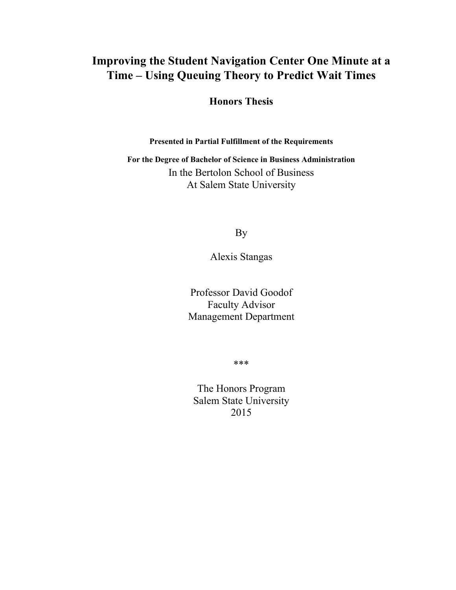# **Improving the Student Navigation Center One Minute at a Time – Using Queuing Theory to Predict Wait Times**

**Honors Thesis**

**Presented in Partial Fulfillment of the Requirements**

**For the Degree of Bachelor of Science in Business Administration** In the Bertolon School of Business At Salem State University

By

Alexis Stangas

Professor David Goodof Faculty Advisor Management Department

\*\*\*

The Honors Program Salem State University 2015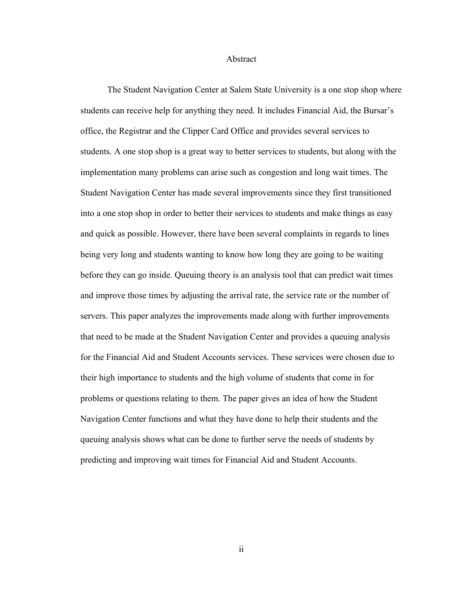## Abstract

The Student Navigation Center at Salem State University is a one stop shop where students can receive help for anything they need. It includes Financial Aid, the Bursar's office, the Registrar and the Clipper Card Office and provides several services to students. A one stop shop is a great way to better services to students, but along with the implementation many problems can arise such as congestion and long wait times. The Student Navigation Center has made several improvements since they first transitioned into a one stop shop in order to better their services to students and make things as easy and quick as possible. However, there have been several complaints in regards to lines being very long and students wanting to know how long they are going to be waiting before they can go inside. Queuing theory is an analysis tool that can predict wait times and improve those times by adjusting the arrival rate, the service rate or the number of servers. This paper analyzes the improvements made along with further improvements that need to be made at the Student Navigation Center and provides a queuing analysis for the Financial Aid and Student Accounts services. These services were chosen due to their high importance to students and the high volume of students that come in for problems or questions relating to them. The paper gives an idea of how the Student Navigation Center functions and what they have done to help their students and the queuing analysis shows what can be done to further serve the needs of students by predicting and improving wait times for Financial Aid and Student Accounts.

ii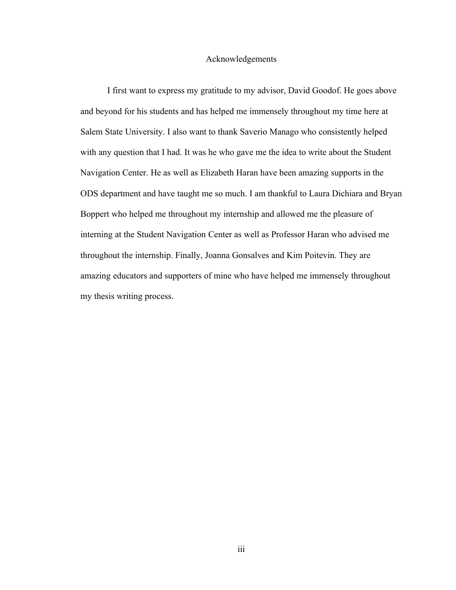## Acknowledgements

I first want to express my gratitude to my advisor, David Goodof. He goes above and beyond for his students and has helped me immensely throughout my time here at Salem State University. I also want to thank Saverio Manago who consistently helped with any question that I had. It was he who gave me the idea to write about the Student Navigation Center. He as well as Elizabeth Haran have been amazing supports in the ODS department and have taught me so much. I am thankful to Laura Dichiara and Bryan Boppert who helped me throughout my internship and allowed me the pleasure of interning at the Student Navigation Center as well as Professor Haran who advised me throughout the internship. Finally, Joanna Gonsalves and Kim Poitevin. They are amazing educators and supporters of mine who have helped me immensely throughout my thesis writing process.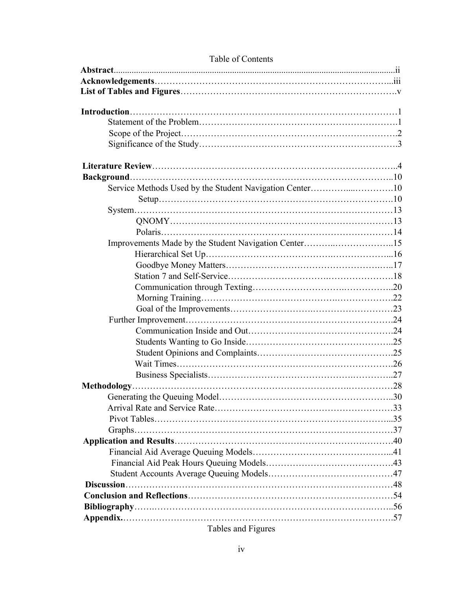| Service Methods Used by the Student Navigation Center10 |  |
|---------------------------------------------------------|--|
|                                                         |  |
|                                                         |  |
|                                                         |  |
|                                                         |  |
| Improvements Made by the Student Navigation Center15    |  |
|                                                         |  |
|                                                         |  |
|                                                         |  |
|                                                         |  |
|                                                         |  |
|                                                         |  |
|                                                         |  |
|                                                         |  |
|                                                         |  |
|                                                         |  |
|                                                         |  |
|                                                         |  |
|                                                         |  |
| Generating the Queuing Model                            |  |
|                                                         |  |
|                                                         |  |
|                                                         |  |
|                                                         |  |
|                                                         |  |
|                                                         |  |
|                                                         |  |
|                                                         |  |
|                                                         |  |
|                                                         |  |
|                                                         |  |
|                                                         |  |

## Table of Contents

Tables and Figures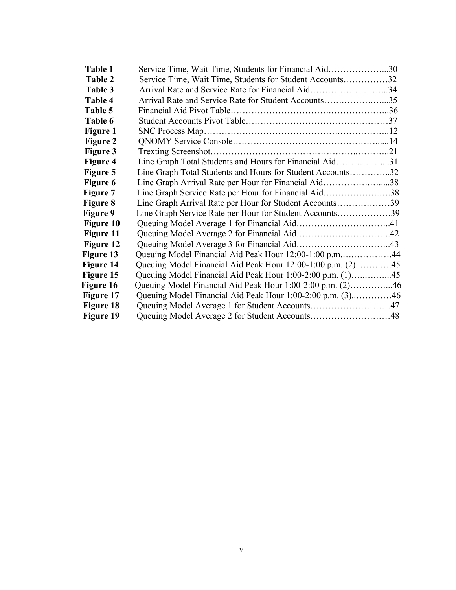| Table 1          | Service Time, Wait Time, Students for Financial Aid30      |  |
|------------------|------------------------------------------------------------|--|
| <b>Table 2</b>   | Service Time, Wait Time, Students for Student Accounts32   |  |
| Table 3          | Arrival Rate and Service Rate for Financial Aid34          |  |
| Table 4          | Arrival Rate and Service Rate for Student Accounts35       |  |
| Table 5          |                                                            |  |
| Table 6          |                                                            |  |
| <b>Figure 1</b>  |                                                            |  |
| <b>Figure 2</b>  |                                                            |  |
| <b>Figure 3</b>  |                                                            |  |
| <b>Figure 4</b>  | Line Graph Total Students and Hours for Financial Aid31    |  |
| Figure 5         | Line Graph Total Students and Hours for Student Accounts32 |  |
| Figure 6         | Line Graph Arrival Rate per Hour for Financial Aid38       |  |
| Figure 7         | Line Graph Service Rate per Hour for Financial Aid38       |  |
| <b>Figure 8</b>  | Line Graph Arrival Rate per Hour for Student Accounts39    |  |
| <b>Figure 9</b>  | Line Graph Service Rate per Hour for Student Accounts39    |  |
| <b>Figure 10</b> |                                                            |  |
| Figure 11        |                                                            |  |
| Figure 12        |                                                            |  |
| Figure 13        | Queuing Model Financial Aid Peak Hour 12:00-1:00 p.m44     |  |
| Figure 14        |                                                            |  |
| Figure 15        | Queuing Model Financial Aid Peak Hour 1:00-2:00 p.m. (1)45 |  |
| Figure 16        | Queuing Model Financial Aid Peak Hour 1:00-2:00 p.m. (2)46 |  |
| Figure 17        | Queuing Model Financial Aid Peak Hour 1:00-2:00 p.m. (3)46 |  |
| Figure 18        |                                                            |  |
| Figure 19        |                                                            |  |
|                  |                                                            |  |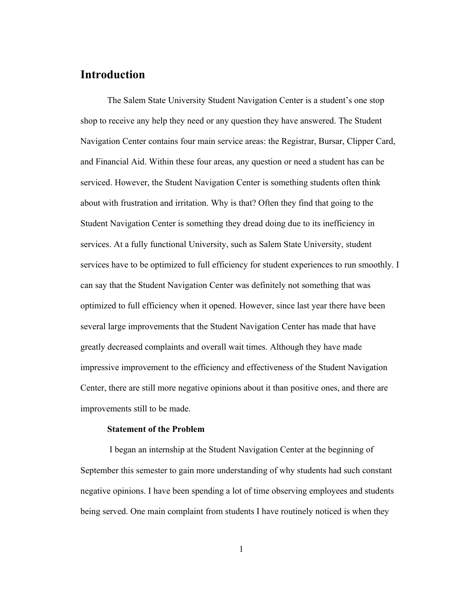## **Introduction**

The Salem State University Student Navigation Center is a student's one stop shop to receive any help they need or any question they have answered. The Student Navigation Center contains four main service areas: the Registrar, Bursar, Clipper Card, and Financial Aid. Within these four areas, any question or need a student has can be serviced. However, the Student Navigation Center is something students often think about with frustration and irritation. Why is that? Often they find that going to the Student Navigation Center is something they dread doing due to its inefficiency in services. At a fully functional University, such as Salem State University, student services have to be optimized to full efficiency for student experiences to run smoothly. I can say that the Student Navigation Center was definitely not something that was optimized to full efficiency when it opened. However, since last year there have been several large improvements that the Student Navigation Center has made that have greatly decreased complaints and overall wait times. Although they have made impressive improvement to the efficiency and effectiveness of the Student Navigation Center, there are still more negative opinions about it than positive ones, and there are improvements still to be made.

#### **Statement of the Problem**

I began an internship at the Student Navigation Center at the beginning of September this semester to gain more understanding of why students had such constant negative opinions. I have been spending a lot of time observing employees and students being served. One main complaint from students I have routinely noticed is when they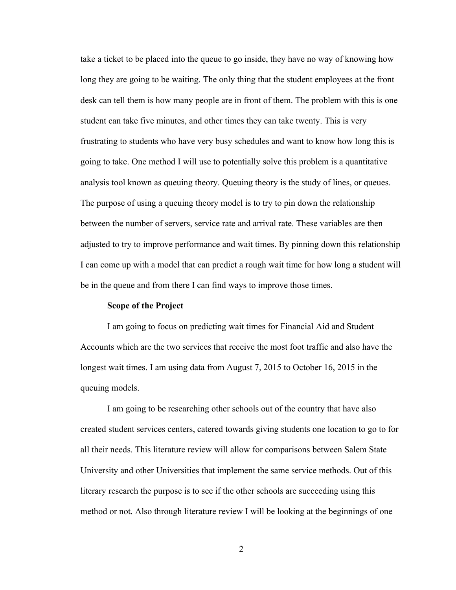take a ticket to be placed into the queue to go inside, they have no way of knowing how long they are going to be waiting. The only thing that the student employees at the front desk can tell them is how many people are in front of them. The problem with this is one student can take five minutes, and other times they can take twenty. This is very frustrating to students who have very busy schedules and want to know how long this is going to take. One method I will use to potentially solve this problem is a quantitative analysis tool known as queuing theory. Queuing theory is the study of lines, or queues. The purpose of using a queuing theory model is to try to pin down the relationship between the number of servers, service rate and arrival rate. These variables are then adjusted to try to improve performance and wait times. By pinning down this relationship I can come up with a model that can predict a rough wait time for how long a student will be in the queue and from there I can find ways to improve those times.

## **Scope of the Project**

I am going to focus on predicting wait times for Financial Aid and Student Accounts which are the two services that receive the most foot traffic and also have the longest wait times. I am using data from August 7, 2015 to October 16, 2015 in the queuing models.

I am going to be researching other schools out of the country that have also created student services centers, catered towards giving students one location to go to for all their needs. This literature review will allow for comparisons between Salem State University and other Universities that implement the same service methods. Out of this literary research the purpose is to see if the other schools are succeeding using this method or not. Also through literature review I will be looking at the beginnings of one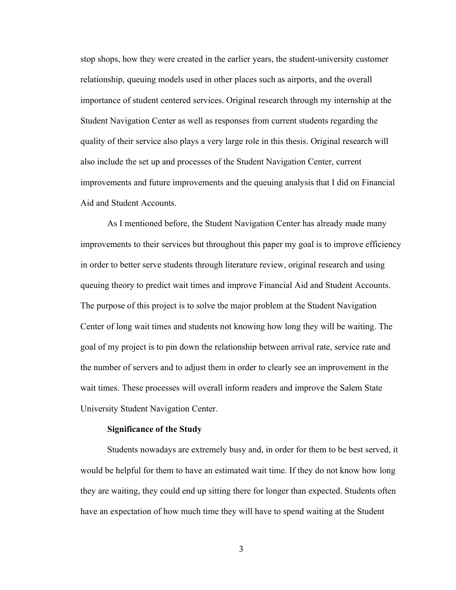stop shops, how they were created in the earlier years, the student-university customer relationship, queuing models used in other places such as airports, and the overall importance of student centered services. Original research through my internship at the Student Navigation Center as well as responses from current students regarding the quality of their service also plays a very large role in this thesis. Original research will also include the set up and processes of the Student Navigation Center, current improvements and future improvements and the queuing analysis that I did on Financial Aid and Student Accounts.

As I mentioned before, the Student Navigation Center has already made many improvements to their services but throughout this paper my goal is to improve efficiency in order to better serve students through literature review, original research and using queuing theory to predict wait times and improve Financial Aid and Student Accounts. The purpose of this project is to solve the major problem at the Student Navigation Center of long wait times and students not knowing how long they will be waiting. The goal of my project is to pin down the relationship between arrival rate, service rate and the number of servers and to adjust them in order to clearly see an improvement in the wait times. These processes will overall inform readers and improve the Salem State University Student Navigation Center.

## **Significance of the Study**

Students nowadays are extremely busy and, in order for them to be best served, it would be helpful for them to have an estimated wait time. If they do not know how long they are waiting, they could end up sitting there for longer than expected. Students often have an expectation of how much time they will have to spend waiting at the Student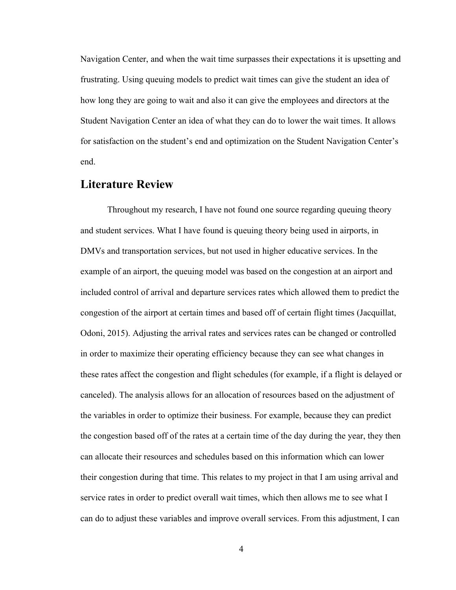Navigation Center, and when the wait time surpasses their expectations it is upsetting and frustrating. Using queuing models to predict wait times can give the student an idea of how long they are going to wait and also it can give the employees and directors at the Student Navigation Center an idea of what they can do to lower the wait times. It allows for satisfaction on the student's end and optimization on the Student Navigation Center's end.

## **Literature Review**

Throughout my research, I have not found one source regarding queuing theory and student services. What I have found is queuing theory being used in airports, in DMVs and transportation services, but not used in higher educative services. In the example of an airport, the queuing model was based on the congestion at an airport and included control of arrival and departure services rates which allowed them to predict the congestion of the airport at certain times and based off of certain flight times (Jacquillat, Odoni, 2015). Adjusting the arrival rates and services rates can be changed or controlled in order to maximize their operating efficiency because they can see what changes in these rates affect the congestion and flight schedules (for example, if a flight is delayed or canceled). The analysis allows for an allocation of resources based on the adjustment of the variables in order to optimize their business. For example, because they can predict the congestion based off of the rates at a certain time of the day during the year, they then can allocate their resources and schedules based on this information which can lower their congestion during that time. This relates to my project in that I am using arrival and service rates in order to predict overall wait times, which then allows me to see what I can do to adjust these variables and improve overall services. From this adjustment, I can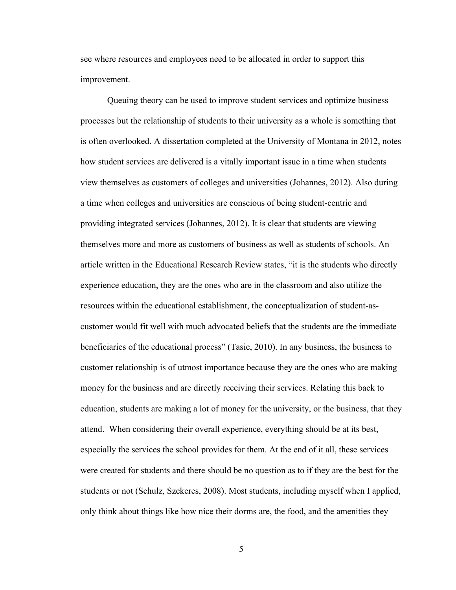see where resources and employees need to be allocated in order to support this improvement.

Queuing theory can be used to improve student services and optimize business processes but the relationship of students to their university as a whole is something that is often overlooked. A dissertation completed at the University of Montana in 2012, notes how student services are delivered is a vitally important issue in a time when students view themselves as customers of colleges and universities (Johannes, 2012). Also during a time when colleges and universities are conscious of being student-centric and providing integrated services (Johannes, 2012). It is clear that students are viewing themselves more and more as customers of business as well as students of schools. An article written in the Educational Research Review states, "it is the students who directly experience education, they are the ones who are in the classroom and also utilize the resources within the educational establishment, the conceptualization of student-ascustomer would fit well with much advocated beliefs that the students are the immediate beneficiaries of the educational process" (Tasie, 2010). In any business, the business to customer relationship is of utmost importance because they are the ones who are making money for the business and are directly receiving their services. Relating this back to education, students are making a lot of money for the university, or the business, that they attend. When considering their overall experience, everything should be at its best, especially the services the school provides for them. At the end of it all, these services were created for students and there should be no question as to if they are the best for the students or not (Schulz, Szekeres, 2008). Most students, including myself when I applied, only think about things like how nice their dorms are, the food, and the amenities they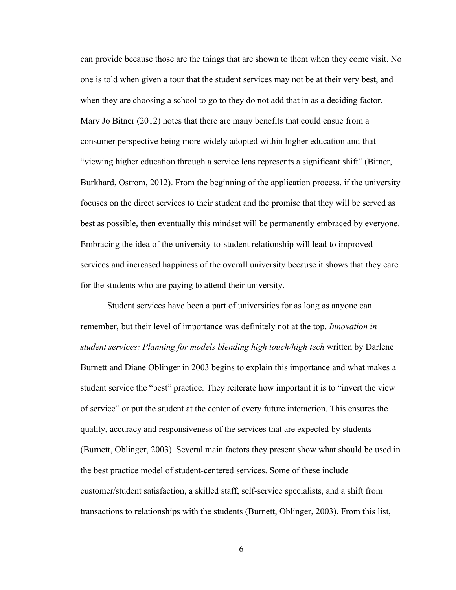can provide because those are the things that are shown to them when they come visit. No one is told when given a tour that the student services may not be at their very best, and when they are choosing a school to go to they do not add that in as a deciding factor. Mary Jo Bitner (2012) notes that there are many benefits that could ensue from a consumer perspective being more widely adopted within higher education and that "viewing higher education through a service lens represents a significant shift" (Bitner, Burkhard, Ostrom, 2012). From the beginning of the application process, if the university focuses on the direct services to their student and the promise that they will be served as best as possible, then eventually this mindset will be permanently embraced by everyone. Embracing the idea of the university-to-student relationship will lead to improved services and increased happiness of the overall university because it shows that they care for the students who are paying to attend their university.

Student services have been a part of universities for as long as anyone can remember, but their level of importance was definitely not at the top. *Innovation in student services: Planning for models blending high touch/high tech* written by Darlene Burnett and Diane Oblinger in 2003 begins to explain this importance and what makes a student service the "best" practice. They reiterate how important it is to "invert the view of service" or put the student at the center of every future interaction. This ensures the quality, accuracy and responsiveness of the services that are expected by students (Burnett, Oblinger, 2003). Several main factors they present show what should be used in the best practice model of student-centered services. Some of these include customer/student satisfaction, a skilled staff, self-service specialists, and a shift from transactions to relationships with the students (Burnett, Oblinger, 2003). From this list,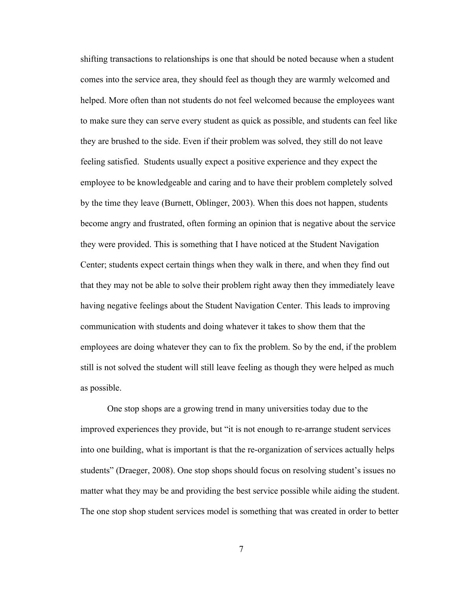shifting transactions to relationships is one that should be noted because when a student comes into the service area, they should feel as though they are warmly welcomed and helped. More often than not students do not feel welcomed because the employees want to make sure they can serve every student as quick as possible, and students can feel like they are brushed to the side. Even if their problem was solved, they still do not leave feeling satisfied. Students usually expect a positive experience and they expect the employee to be knowledgeable and caring and to have their problem completely solved by the time they leave (Burnett, Oblinger, 2003). When this does not happen, students become angry and frustrated, often forming an opinion that is negative about the service they were provided. This is something that I have noticed at the Student Navigation Center; students expect certain things when they walk in there, and when they find out that they may not be able to solve their problem right away then they immediately leave having negative feelings about the Student Navigation Center. This leads to improving communication with students and doing whatever it takes to show them that the employees are doing whatever they can to fix the problem. So by the end, if the problem still is not solved the student will still leave feeling as though they were helped as much as possible.

One stop shops are a growing trend in many universities today due to the improved experiences they provide, but "it is not enough to re-arrange student services into one building, what is important is that the re-organization of services actually helps students" (Draeger, 2008). One stop shops should focus on resolving student's issues no matter what they may be and providing the best service possible while aiding the student. The one stop shop student services model is something that was created in order to better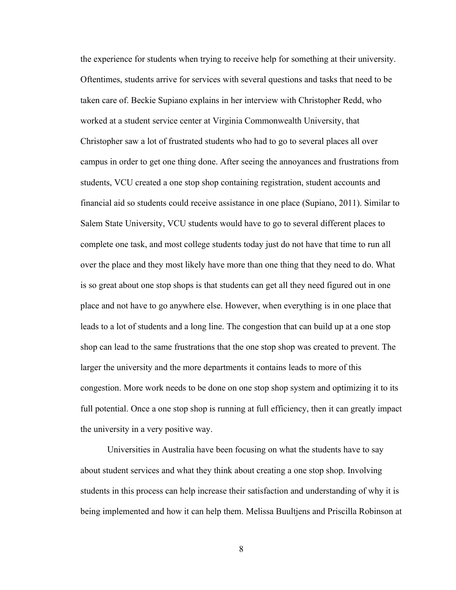the experience for students when trying to receive help for something at their university. Oftentimes, students arrive for services with several questions and tasks that need to be taken care of. Beckie Supiano explains in her interview with Christopher Redd, who worked at a student service center at Virginia Commonwealth University, that Christopher saw a lot of frustrated students who had to go to several places all over campus in order to get one thing done. After seeing the annoyances and frustrations from students, VCU created a one stop shop containing registration, student accounts and financial aid so students could receive assistance in one place (Supiano, 2011). Similar to Salem State University, VCU students would have to go to several different places to complete one task, and most college students today just do not have that time to run all over the place and they most likely have more than one thing that they need to do. What is so great about one stop shops is that students can get all they need figured out in one place and not have to go anywhere else. However, when everything is in one place that leads to a lot of students and a long line. The congestion that can build up at a one stop shop can lead to the same frustrations that the one stop shop was created to prevent. The larger the university and the more departments it contains leads to more of this congestion. More work needs to be done on one stop shop system and optimizing it to its full potential. Once a one stop shop is running at full efficiency, then it can greatly impact the university in a very positive way.

Universities in Australia have been focusing on what the students have to say about student services and what they think about creating a one stop shop. Involving students in this process can help increase their satisfaction and understanding of why it is being implemented and how it can help them. Melissa Buultjens and Priscilla Robinson at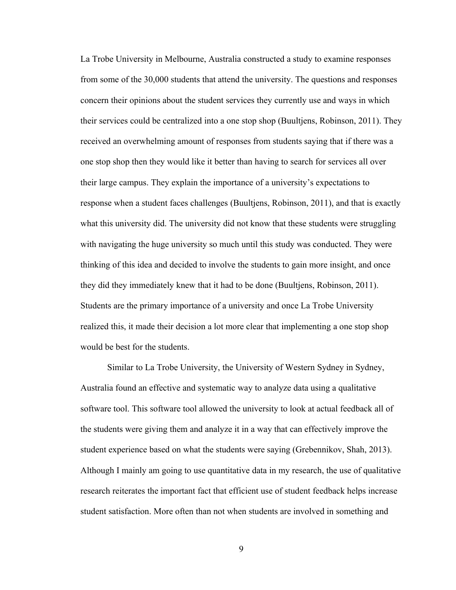La Trobe University in Melbourne, Australia constructed a study to examine responses from some of the 30,000 students that attend the university. The questions and responses concern their opinions about the student services they currently use and ways in which their services could be centralized into a one stop shop (Buultjens, Robinson, 2011). They received an overwhelming amount of responses from students saying that if there was a one stop shop then they would like it better than having to search for services all over their large campus. They explain the importance of a university's expectations to response when a student faces challenges (Buultjens, Robinson, 2011), and that is exactly what this university did. The university did not know that these students were struggling with navigating the huge university so much until this study was conducted. They were thinking of this idea and decided to involve the students to gain more insight, and once they did they immediately knew that it had to be done (Buultjens, Robinson, 2011). Students are the primary importance of a university and once La Trobe University realized this, it made their decision a lot more clear that implementing a one stop shop would be best for the students.

Similar to La Trobe University, the University of Western Sydney in Sydney, Australia found an effective and systematic way to analyze data using a qualitative software tool. This software tool allowed the university to look at actual feedback all of the students were giving them and analyze it in a way that can effectively improve the student experience based on what the students were saying (Grebennikov, Shah, 2013). Although I mainly am going to use quantitative data in my research, the use of qualitative research reiterates the important fact that efficient use of student feedback helps increase student satisfaction. More often than not when students are involved in something and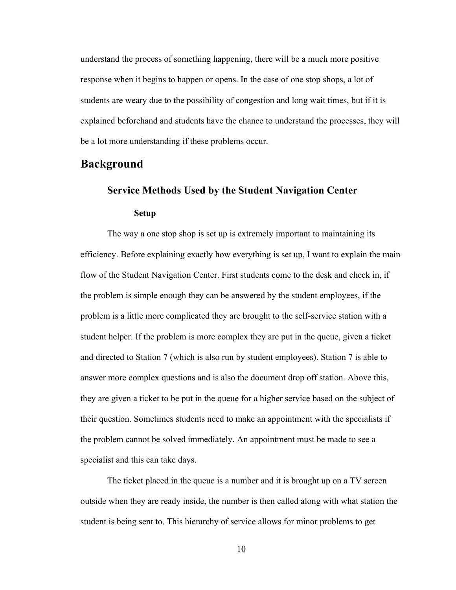understand the process of something happening, there will be a much more positive response when it begins to happen or opens. In the case of one stop shops, a lot of students are weary due to the possibility of congestion and long wait times, but if it is explained beforehand and students have the chance to understand the processes, they will be a lot more understanding if these problems occur.

## **Background**

## **Service Methods Used by the Student Navigation Center**

## **Setup**

The way a one stop shop is set up is extremely important to maintaining its efficiency. Before explaining exactly how everything is set up, I want to explain the main flow of the Student Navigation Center. First students come to the desk and check in, if the problem is simple enough they can be answered by the student employees, if the problem is a little more complicated they are brought to the self-service station with a student helper. If the problem is more complex they are put in the queue, given a ticket and directed to Station 7 (which is also run by student employees). Station 7 is able to answer more complex questions and is also the document drop off station. Above this, they are given a ticket to be put in the queue for a higher service based on the subject of their question. Sometimes students need to make an appointment with the specialists if the problem cannot be solved immediately. An appointment must be made to see a specialist and this can take days.

The ticket placed in the queue is a number and it is brought up on a TV screen outside when they are ready inside, the number is then called along with what station the student is being sent to. This hierarchy of service allows for minor problems to get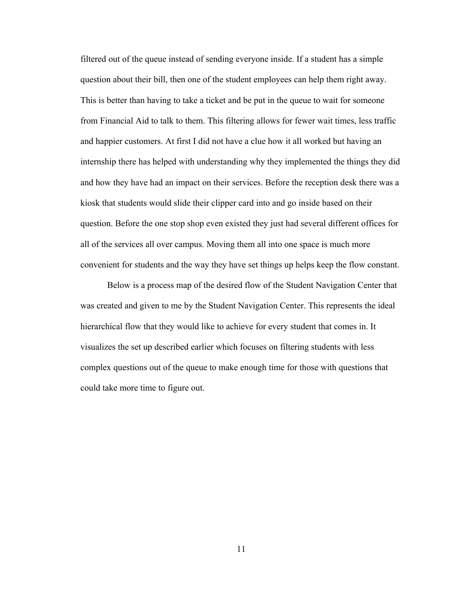filtered out of the queue instead of sending everyone inside. If a student has a simple question about their bill, then one of the student employees can help them right away. This is better than having to take a ticket and be put in the queue to wait for someone from Financial Aid to talk to them. This filtering allows for fewer wait times, less traffic and happier customers. At first I did not have a clue how it all worked but having an internship there has helped with understanding why they implemented the things they did and how they have had an impact on their services. Before the reception desk there was a kiosk that students would slide their clipper card into and go inside based on their question. Before the one stop shop even existed they just had several different offices for all of the services all over campus. Moving them all into one space is much more convenient for students and the way they have set things up helps keep the flow constant.

Below is a process map of the desired flow of the Student Navigation Center that was created and given to me by the Student Navigation Center. This represents the ideal hierarchical flow that they would like to achieve for every student that comes in. It visualizes the set up described earlier which focuses on filtering students with less complex questions out of the queue to make enough time for those with questions that could take more time to figure out.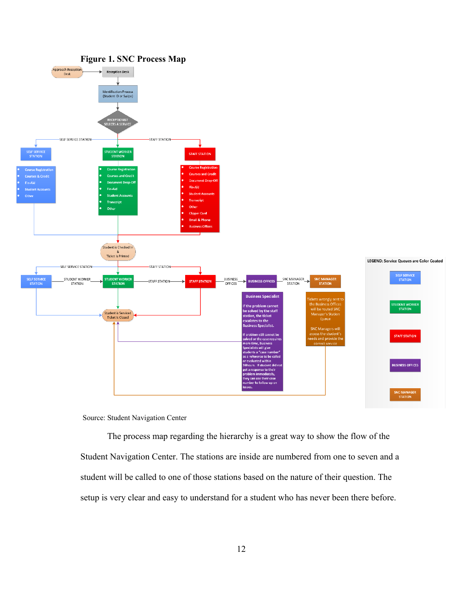

## Source: Student Navigation Center

The process map regarding the hierarchy is a great way to show the flow of the Student Navigation Center. The stations are inside are numbered from one to seven and a student will be called to one of those stations based on the nature of their question. The setup is very clear and easy to understand for a student who has never been there before.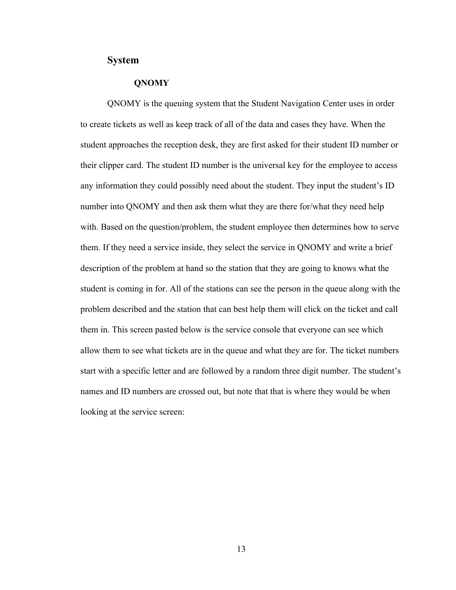## **System**

## **QNOMY**

QNOMY is the queuing system that the Student Navigation Center uses in order to create tickets as well as keep track of all of the data and cases they have. When the student approaches the reception desk, they are first asked for their student ID number or their clipper card. The student ID number is the universal key for the employee to access any information they could possibly need about the student. They input the student's ID number into QNOMY and then ask them what they are there for/what they need help with. Based on the question/problem, the student employee then determines how to serve them. If they need a service inside, they select the service in QNOMY and write a brief description of the problem at hand so the station that they are going to knows what the student is coming in for. All of the stations can see the person in the queue along with the problem described and the station that can best help them will click on the ticket and call them in. This screen pasted below is the service console that everyone can see which allow them to see what tickets are in the queue and what they are for. The ticket numbers start with a specific letter and are followed by a random three digit number. The student's names and ID numbers are crossed out, but note that that is where they would be when looking at the service screen: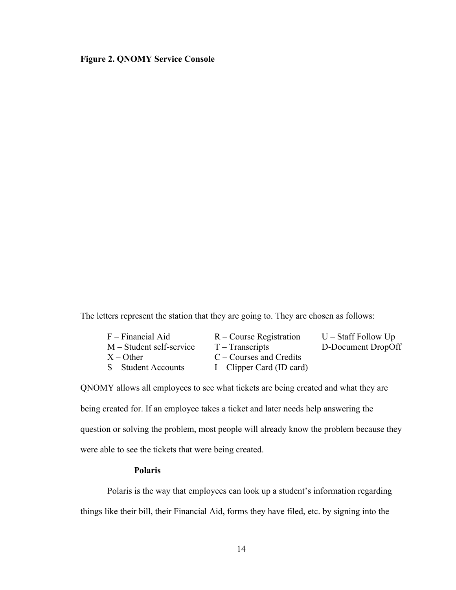## **Figure 2. QNOMY Service Console**

The letters represent the station that they are going to. They are chosen as follows:

| $F$ – Financial Aid      | $R$ – Course Registration    | $U - \text{Staff Follow Up}$ |
|--------------------------|------------------------------|------------------------------|
| M – Student self-service | $T - Transcripts$            | D-Document DropOff           |
| $X -$ Other              | $C$ – Courses and Credits    |                              |
| S – Student Accounts     | $I$ – Clipper Card (ID card) |                              |

QNOMY allows all employees to see what tickets are being created and what they are being created for. If an employee takes a ticket and later needs help answering the question or solving the problem, most people will already know the problem because they were able to see the tickets that were being created.

## **Polaris**

Polaris is the way that employees can look up a student's information regarding things like their bill, their Financial Aid, forms they have filed, etc. by signing into the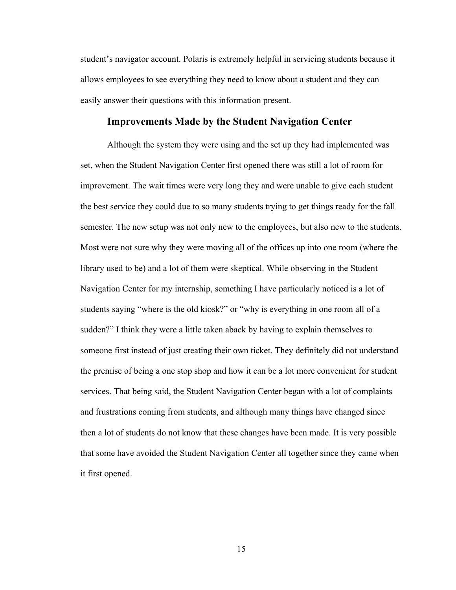student's navigator account. Polaris is extremely helpful in servicing students because it allows employees to see everything they need to know about a student and they can easily answer their questions with this information present.

## **Improvements Made by the Student Navigation Center**

Although the system they were using and the set up they had implemented was set, when the Student Navigation Center first opened there was still a lot of room for improvement. The wait times were very long they and were unable to give each student the best service they could due to so many students trying to get things ready for the fall semester. The new setup was not only new to the employees, but also new to the students. Most were not sure why they were moving all of the offices up into one room (where the library used to be) and a lot of them were skeptical. While observing in the Student Navigation Center for my internship, something I have particularly noticed is a lot of students saying "where is the old kiosk?" or "why is everything in one room all of a sudden?" I think they were a little taken aback by having to explain themselves to someone first instead of just creating their own ticket. They definitely did not understand the premise of being a one stop shop and how it can be a lot more convenient for student services. That being said, the Student Navigation Center began with a lot of complaints and frustrations coming from students, and although many things have changed since then a lot of students do not know that these changes have been made. It is very possible that some have avoided the Student Navigation Center all together since they came when it first opened.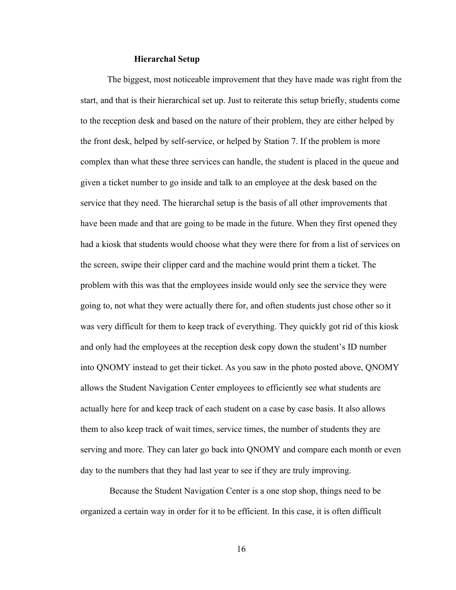### **Hierarchal Setup**

The biggest, most noticeable improvement that they have made was right from the start, and that is their hierarchical set up. Just to reiterate this setup briefly, students come to the reception desk and based on the nature of their problem, they are either helped by the front desk, helped by self-service, or helped by Station 7. If the problem is more complex than what these three services can handle, the student is placed in the queue and given a ticket number to go inside and talk to an employee at the desk based on the service that they need. The hierarchal setup is the basis of all other improvements that have been made and that are going to be made in the future. When they first opened they had a kiosk that students would choose what they were there for from a list of services on the screen, swipe their clipper card and the machine would print them a ticket. The problem with this was that the employees inside would only see the service they were going to, not what they were actually there for, and often students just chose other so it was very difficult for them to keep track of everything. They quickly got rid of this kiosk and only had the employees at the reception desk copy down the student's ID number into QNOMY instead to get their ticket. As you saw in the photo posted above, QNOMY allows the Student Navigation Center employees to efficiently see what students are actually here for and keep track of each student on a case by case basis. It also allows them to also keep track of wait times, service times, the number of students they are serving and more. They can later go back into QNOMY and compare each month or even day to the numbers that they had last year to see if they are truly improving.

Because the Student Navigation Center is a one stop shop, things need to be organized a certain way in order for it to be efficient. In this case, it is often difficult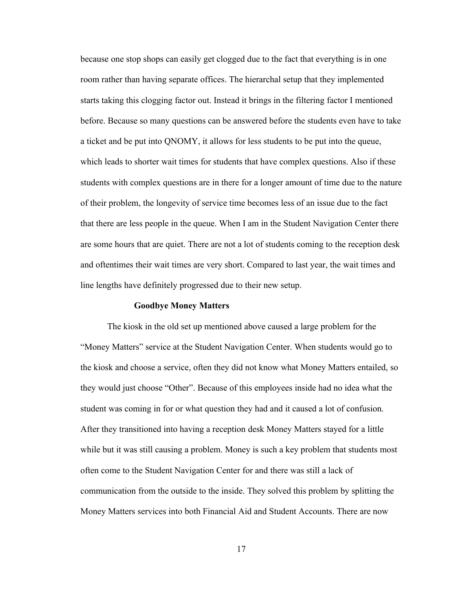because one stop shops can easily get clogged due to the fact that everything is in one room rather than having separate offices. The hierarchal setup that they implemented starts taking this clogging factor out. Instead it brings in the filtering factor I mentioned before. Because so many questions can be answered before the students even have to take a ticket and be put into QNOMY, it allows for less students to be put into the queue, which leads to shorter wait times for students that have complex questions. Also if these students with complex questions are in there for a longer amount of time due to the nature of their problem, the longevity of service time becomes less of an issue due to the fact that there are less people in the queue. When I am in the Student Navigation Center there are some hours that are quiet. There are not a lot of students coming to the reception desk and oftentimes their wait times are very short. Compared to last year, the wait times and line lengths have definitely progressed due to their new setup.

### **Goodbye Money Matters**

The kiosk in the old set up mentioned above caused a large problem for the "Money Matters" service at the Student Navigation Center. When students would go to the kiosk and choose a service, often they did not know what Money Matters entailed, so they would just choose "Other". Because of this employees inside had no idea what the student was coming in for or what question they had and it caused a lot of confusion. After they transitioned into having a reception desk Money Matters stayed for a little while but it was still causing a problem. Money is such a key problem that students most often come to the Student Navigation Center for and there was still a lack of communication from the outside to the inside. They solved this problem by splitting the Money Matters services into both Financial Aid and Student Accounts. There are now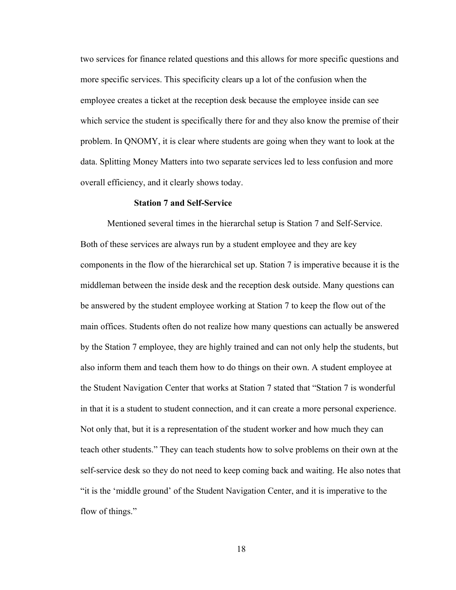two services for finance related questions and this allows for more specific questions and more specific services. This specificity clears up a lot of the confusion when the employee creates a ticket at the reception desk because the employee inside can see which service the student is specifically there for and they also know the premise of their problem. In QNOMY, it is clear where students are going when they want to look at the data. Splitting Money Matters into two separate services led to less confusion and more overall efficiency, and it clearly shows today.

## **Station 7 and Self-Service**

Mentioned several times in the hierarchal setup is Station 7 and Self-Service. Both of these services are always run by a student employee and they are key components in the flow of the hierarchical set up. Station 7 is imperative because it is the middleman between the inside desk and the reception desk outside. Many questions can be answered by the student employee working at Station 7 to keep the flow out of the main offices. Students often do not realize how many questions can actually be answered by the Station 7 employee, they are highly trained and can not only help the students, but also inform them and teach them how to do things on their own. A student employee at the Student Navigation Center that works at Station 7 stated that "Station 7 is wonderful in that it is a student to student connection, and it can create a more personal experience. Not only that, but it is a representation of the student worker and how much they can teach other students." They can teach students how to solve problems on their own at the self-service desk so they do not need to keep coming back and waiting. He also notes that "it is the 'middle ground' of the Student Navigation Center, and it is imperative to the flow of things."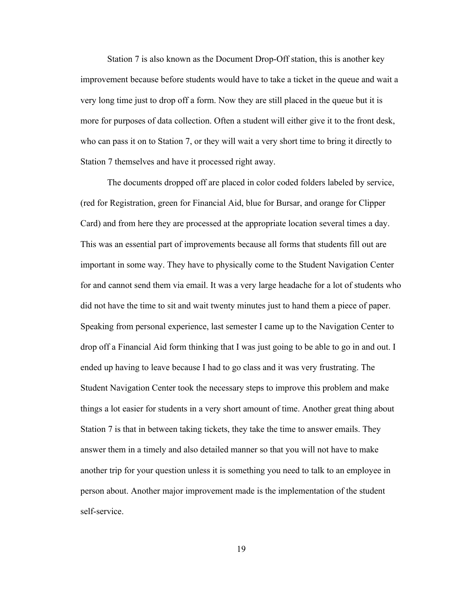Station 7 is also known as the Document Drop-Off station, this is another key improvement because before students would have to take a ticket in the queue and wait a very long time just to drop off a form. Now they are still placed in the queue but it is more for purposes of data collection. Often a student will either give it to the front desk, who can pass it on to Station 7, or they will wait a very short time to bring it directly to Station 7 themselves and have it processed right away.

The documents dropped off are placed in color coded folders labeled by service, (red for Registration, green for Financial Aid, blue for Bursar, and orange for Clipper Card) and from here they are processed at the appropriate location several times a day. This was an essential part of improvements because all forms that students fill out are important in some way. They have to physically come to the Student Navigation Center for and cannot send them via email. It was a very large headache for a lot of students who did not have the time to sit and wait twenty minutes just to hand them a piece of paper. Speaking from personal experience, last semester I came up to the Navigation Center to drop off a Financial Aid form thinking that I was just going to be able to go in and out. I ended up having to leave because I had to go class and it was very frustrating. The Student Navigation Center took the necessary steps to improve this problem and make things a lot easier for students in a very short amount of time. Another great thing about Station 7 is that in between taking tickets, they take the time to answer emails. They answer them in a timely and also detailed manner so that you will not have to make another trip for your question unless it is something you need to talk to an employee in person about. Another major improvement made is the implementation of the student self-service.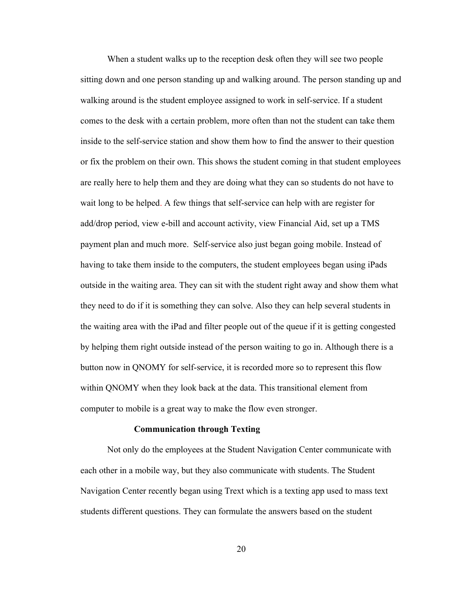When a student walks up to the reception desk often they will see two people sitting down and one person standing up and walking around. The person standing up and walking around is the student employee assigned to work in self-service. If a student comes to the desk with a certain problem, more often than not the student can take them inside to the self-service station and show them how to find the answer to their question or fix the problem on their own. This shows the student coming in that student employees are really here to help them and they are doing what they can so students do not have to wait long to be helped. A few things that self-service can help with are register for add/drop period, view e-bill and account activity, view Financial Aid, set up a TMS payment plan and much more. Self-service also just began going mobile. Instead of having to take them inside to the computers, the student employees began using iPads outside in the waiting area. They can sit with the student right away and show them what they need to do if it is something they can solve. Also they can help several students in the waiting area with the iPad and filter people out of the queue if it is getting congested by helping them right outside instead of the person waiting to go in. Although there is a button now in QNOMY for self-service, it is recorded more so to represent this flow within QNOMY when they look back at the data. This transitional element from computer to mobile is a great way to make the flow even stronger.

#### **Communication through Texting**

Not only do the employees at the Student Navigation Center communicate with each other in a mobile way, but they also communicate with students. The Student Navigation Center recently began using Trext which is a texting app used to mass text students different questions. They can formulate the answers based on the student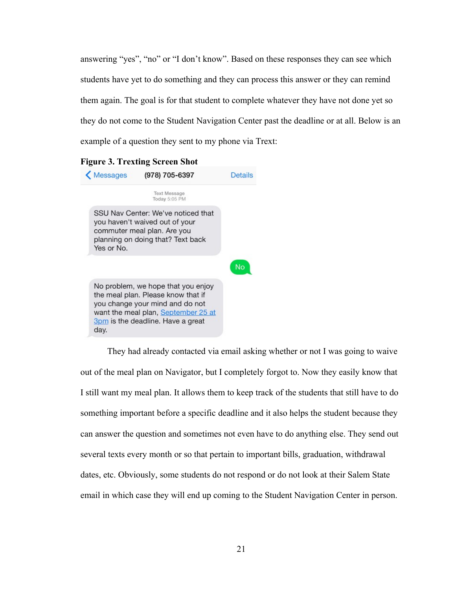answering "yes", "no" or "I don't know". Based on these responses they can see which students have yet to do something and they can process this answer or they can remind them again. The goal is for that student to complete whatever they have not done yet so they do not come to the Student Navigation Center past the deadline or at all. Below is an example of a question they sent to my phone via Trext:



They had already contacted via email asking whether or not I was going to waive out of the meal plan on Navigator, but I completely forgot to. Now they easily know that I still want my meal plan. It allows them to keep track of the students that still have to do something important before a specific deadline and it also helps the student because they can answer the question and sometimes not even have to do anything else. They send out several texts every month or so that pertain to important bills, graduation, withdrawal dates, etc. Obviously, some students do not respond or do not look at their Salem State email in which case they will end up coming to the Student Navigation Center in person.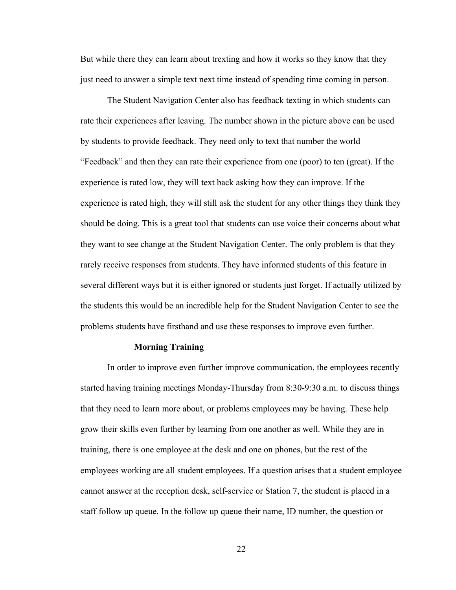But while there they can learn about trexting and how it works so they know that they just need to answer a simple text next time instead of spending time coming in person.

The Student Navigation Center also has feedback texting in which students can rate their experiences after leaving. The number shown in the picture above can be used by students to provide feedback. They need only to text that number the world "Feedback" and then they can rate their experience from one (poor) to ten (great). If the experience is rated low, they will text back asking how they can improve. If the experience is rated high, they will still ask the student for any other things they think they should be doing. This is a great tool that students can use voice their concerns about what they want to see change at the Student Navigation Center. The only problem is that they rarely receive responses from students. They have informed students of this feature in several different ways but it is either ignored or students just forget. If actually utilized by the students this would be an incredible help for the Student Navigation Center to see the problems students have firsthand and use these responses to improve even further.

#### **Morning Training**

In order to improve even further improve communication, the employees recently started having training meetings Monday-Thursday from 8:30-9:30 a.m. to discuss things that they need to learn more about, or problems employees may be having. These help grow their skills even further by learning from one another as well. While they are in training, there is one employee at the desk and one on phones, but the rest of the employees working are all student employees. If a question arises that a student employee cannot answer at the reception desk, self-service or Station 7, the student is placed in a staff follow up queue. In the follow up queue their name, ID number, the question or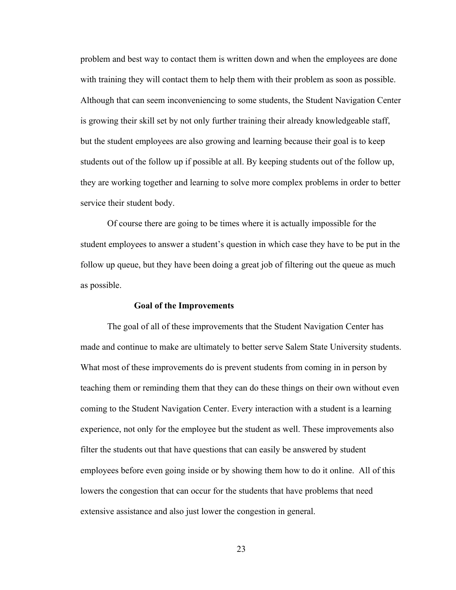problem and best way to contact them is written down and when the employees are done with training they will contact them to help them with their problem as soon as possible. Although that can seem inconveniencing to some students, the Student Navigation Center is growing their skill set by not only further training their already knowledgeable staff, but the student employees are also growing and learning because their goal is to keep students out of the follow up if possible at all. By keeping students out of the follow up, they are working together and learning to solve more complex problems in order to better service their student body.

Of course there are going to be times where it is actually impossible for the student employees to answer a student's question in which case they have to be put in the follow up queue, but they have been doing a great job of filtering out the queue as much as possible.

### **Goal of the Improvements**

The goal of all of these improvements that the Student Navigation Center has made and continue to make are ultimately to better serve Salem State University students. What most of these improvements do is prevent students from coming in in person by teaching them or reminding them that they can do these things on their own without even coming to the Student Navigation Center. Every interaction with a student is a learning experience, not only for the employee but the student as well. These improvements also filter the students out that have questions that can easily be answered by student employees before even going inside or by showing them how to do it online. All of this lowers the congestion that can occur for the students that have problems that need extensive assistance and also just lower the congestion in general.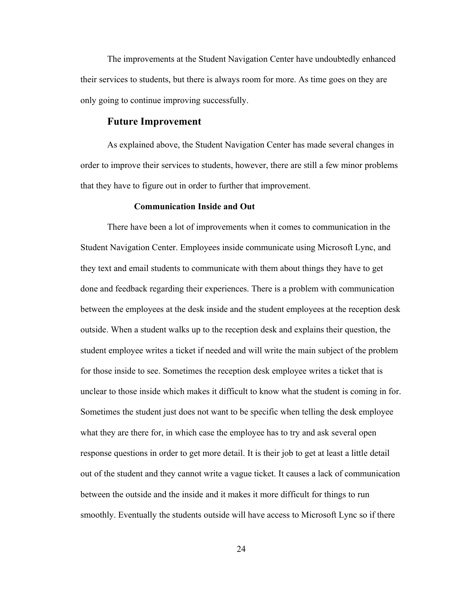The improvements at the Student Navigation Center have undoubtedly enhanced their services to students, but there is always room for more. As time goes on they are only going to continue improving successfully.

## **Future Improvement**

As explained above, the Student Navigation Center has made several changes in order to improve their services to students, however, there are still a few minor problems that they have to figure out in order to further that improvement.

## **Communication Inside and Out**

There have been a lot of improvements when it comes to communication in the Student Navigation Center. Employees inside communicate using Microsoft Lync, and they text and email students to communicate with them about things they have to get done and feedback regarding their experiences. There is a problem with communication between the employees at the desk inside and the student employees at the reception desk outside. When a student walks up to the reception desk and explains their question, the student employee writes a ticket if needed and will write the main subject of the problem for those inside to see. Sometimes the reception desk employee writes a ticket that is unclear to those inside which makes it difficult to know what the student is coming in for. Sometimes the student just does not want to be specific when telling the desk employee what they are there for, in which case the employee has to try and ask several open response questions in order to get more detail. It is their job to get at least a little detail out of the student and they cannot write a vague ticket. It causes a lack of communication between the outside and the inside and it makes it more difficult for things to run smoothly. Eventually the students outside will have access to Microsoft Lync so if there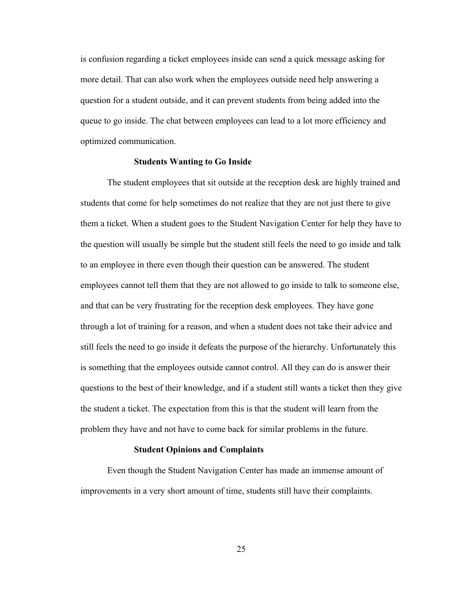is confusion regarding a ticket employees inside can send a quick message asking for more detail. That can also work when the employees outside need help answering a question for a student outside, and it can prevent students from being added into the queue to go inside. The chat between employees can lead to a lot more efficiency and optimized communication.

## **Students Wanting to Go Inside**

The student employees that sit outside at the reception desk are highly trained and students that come for help sometimes do not realize that they are not just there to give them a ticket. When a student goes to the Student Navigation Center for help they have to the question will usually be simple but the student still feels the need to go inside and talk to an employee in there even though their question can be answered. The student employees cannot tell them that they are not allowed to go inside to talk to someone else, and that can be very frustrating for the reception desk employees. They have gone through a lot of training for a reason, and when a student does not take their advice and still feels the need to go inside it defeats the purpose of the hierarchy. Unfortunately this is something that the employees outside cannot control. All they can do is answer their questions to the best of their knowledge, and if a student still wants a ticket then they give the student a ticket. The expectation from this is that the student will learn from the problem they have and not have to come back for similar problems in the future.

## **Student Opinions and Complaints**

Even though the Student Navigation Center has made an immense amount of improvements in a very short amount of time, students still have their complaints.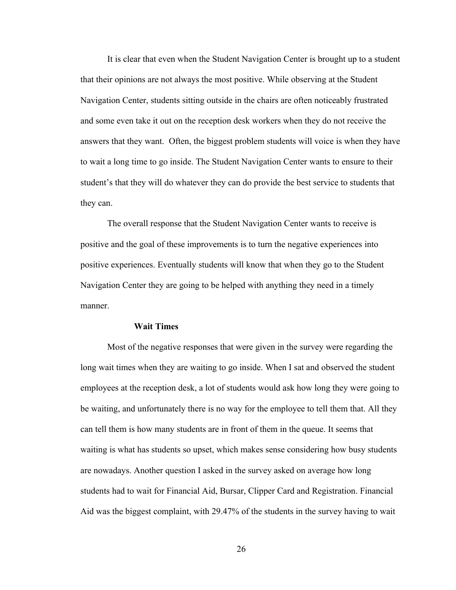It is clear that even when the Student Navigation Center is brought up to a student that their opinions are not always the most positive. While observing at the Student Navigation Center, students sitting outside in the chairs are often noticeably frustrated and some even take it out on the reception desk workers when they do not receive the answers that they want. Often, the biggest problem students will voice is when they have to wait a long time to go inside. The Student Navigation Center wants to ensure to their student's that they will do whatever they can do provide the best service to students that they can.

The overall response that the Student Navigation Center wants to receive is positive and the goal of these improvements is to turn the negative experiences into positive experiences. Eventually students will know that when they go to the Student Navigation Center they are going to be helped with anything they need in a timely manner.

## **Wait Times**

Most of the negative responses that were given in the survey were regarding the long wait times when they are waiting to go inside. When I sat and observed the student employees at the reception desk, a lot of students would ask how long they were going to be waiting, and unfortunately there is no way for the employee to tell them that. All they can tell them is how many students are in front of them in the queue. It seems that waiting is what has students so upset, which makes sense considering how busy students are nowadays. Another question I asked in the survey asked on average how long students had to wait for Financial Aid, Bursar, Clipper Card and Registration. Financial Aid was the biggest complaint, with 29.47% of the students in the survey having to wait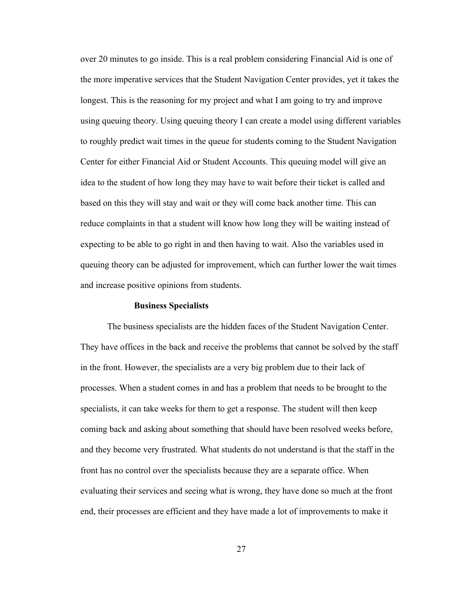over 20 minutes to go inside. This is a real problem considering Financial Aid is one of the more imperative services that the Student Navigation Center provides, yet it takes the longest. This is the reasoning for my project and what I am going to try and improve using queuing theory. Using queuing theory I can create a model using different variables to roughly predict wait times in the queue for students coming to the Student Navigation Center for either Financial Aid or Student Accounts. This queuing model will give an idea to the student of how long they may have to wait before their ticket is called and based on this they will stay and wait or they will come back another time. This can reduce complaints in that a student will know how long they will be waiting instead of expecting to be able to go right in and then having to wait. Also the variables used in queuing theory can be adjusted for improvement, which can further lower the wait times and increase positive opinions from students.

### **Business Specialists**

The business specialists are the hidden faces of the Student Navigation Center. They have offices in the back and receive the problems that cannot be solved by the staff in the front. However, the specialists are a very big problem due to their lack of processes. When a student comes in and has a problem that needs to be brought to the specialists, it can take weeks for them to get a response. The student will then keep coming back and asking about something that should have been resolved weeks before, and they become very frustrated. What students do not understand is that the staff in the front has no control over the specialists because they are a separate office. When evaluating their services and seeing what is wrong, they have done so much at the front end, their processes are efficient and they have made a lot of improvements to make it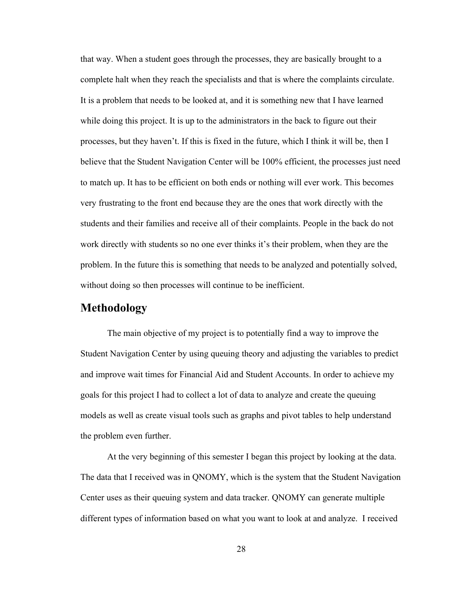that way. When a student goes through the processes, they are basically brought to a complete halt when they reach the specialists and that is where the complaints circulate. It is a problem that needs to be looked at, and it is something new that I have learned while doing this project. It is up to the administrators in the back to figure out their processes, but they haven't. If this is fixed in the future, which I think it will be, then I believe that the Student Navigation Center will be 100% efficient, the processes just need to match up. It has to be efficient on both ends or nothing will ever work. This becomes very frustrating to the front end because they are the ones that work directly with the students and their families and receive all of their complaints. People in the back do not work directly with students so no one ever thinks it's their problem, when they are the problem. In the future this is something that needs to be analyzed and potentially solved, without doing so then processes will continue to be inefficient.

## **Methodology**

The main objective of my project is to potentially find a way to improve the Student Navigation Center by using queuing theory and adjusting the variables to predict and improve wait times for Financial Aid and Student Accounts. In order to achieve my goals for this project I had to collect a lot of data to analyze and create the queuing models as well as create visual tools such as graphs and pivot tables to help understand the problem even further.

At the very beginning of this semester I began this project by looking at the data. The data that I received was in QNOMY, which is the system that the Student Navigation Center uses as their queuing system and data tracker. QNOMY can generate multiple different types of information based on what you want to look at and analyze. I received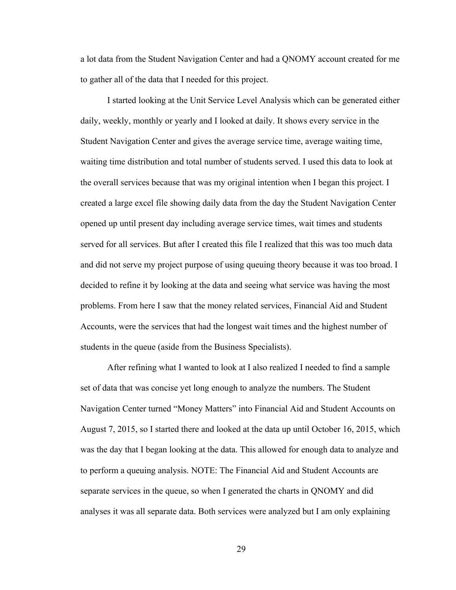a lot data from the Student Navigation Center and had a QNOMY account created for me to gather all of the data that I needed for this project.

I started looking at the Unit Service Level Analysis which can be generated either daily, weekly, monthly or yearly and I looked at daily. It shows every service in the Student Navigation Center and gives the average service time, average waiting time, waiting time distribution and total number of students served. I used this data to look at the overall services because that was my original intention when I began this project. I created a large excel file showing daily data from the day the Student Navigation Center opened up until present day including average service times, wait times and students served for all services. But after I created this file I realized that this was too much data and did not serve my project purpose of using queuing theory because it was too broad. I decided to refine it by looking at the data and seeing what service was having the most problems. From here I saw that the money related services, Financial Aid and Student Accounts, were the services that had the longest wait times and the highest number of students in the queue (aside from the Business Specialists).

After refining what I wanted to look at I also realized I needed to find a sample set of data that was concise yet long enough to analyze the numbers. The Student Navigation Center turned "Money Matters" into Financial Aid and Student Accounts on August 7, 2015, so I started there and looked at the data up until October 16, 2015, which was the day that I began looking at the data. This allowed for enough data to analyze and to perform a queuing analysis. NOTE: The Financial Aid and Student Accounts are separate services in the queue, so when I generated the charts in QNOMY and did analyses it was all separate data. Both services were analyzed but I am only explaining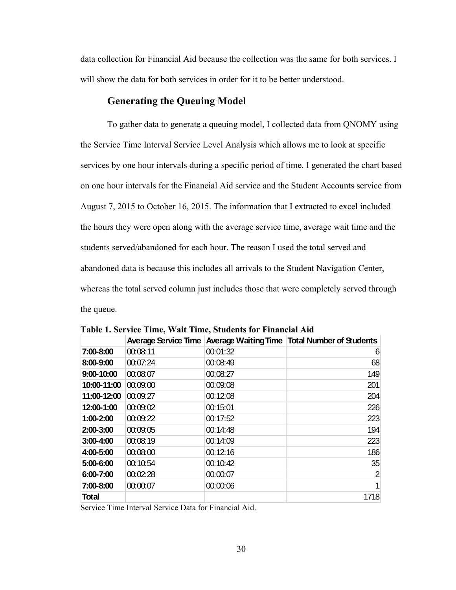data collection for Financial Aid because the collection was the same for both services. I will show the data for both services in order for it to be better understood.

## **Generating the Queuing Model**

To gather data to generate a queuing model, I collected data from QNOMY using the Service Time Interval Service Level Analysis which allows me to look at specific services by one hour intervals during a specific period of time. I generated the chart based on one hour intervals for the Financial Aid service and the Student Accounts service from August 7, 2015 to October 16, 2015. The information that I extracted to excel included the hours they were open along with the average service time, average wait time and the students served/abandoned for each hour. The reason I used the total served and abandoned data is because this includes all arrivals to the Student Navigation Center, whereas the total served column just includes those that were completely served through the queue.

|             | <b>Average Service Time</b> |          | Average Waiting Time   Total Number of Students |
|-------------|-----------------------------|----------|-------------------------------------------------|
| 7:00-8:00   | 00:08:11                    | 00:01:32 | 6                                               |
| 8:00-9:00   | 00:07:24                    | 00:08:49 | 68                                              |
| 9:00-10:00  | 00:08:07                    | 00:08:27 | 149                                             |
| 10:00-11:00 | 00:09:00                    | 00:09:08 | 201                                             |
| 11:00-12:00 | 00:09:27                    | 00:12:08 | 204                                             |
| 12:00-1:00  | 00:09:02                    | 00:15:01 | 226                                             |
| 1:00-2:00   | 00:09:22                    | 00:17:52 | 223                                             |
| 2:00-3:00   | 00:09:05                    | 00:14:48 | 194                                             |
| 3:00-4:00   | 00:08:19                    | 00:14:09 | 223                                             |
| 4:00-5:00   | 00:08:00                    | 00:12:16 | 186                                             |
| 5:00-6:00   | 00:10:54                    | 00:10:42 | 35                                              |
| 6:00-7:00   | 00:02:28                    | 00:00:07 | 2                                               |
| 7:00-8:00   | 00:00:07                    | 00:00:06 | $\overline{1}$                                  |
| Total       |                             |          | 1718                                            |

**Table 1. Service Time, Wait Time, Students for Financial Aid**

Service Time Interval Service Data for Financial Aid.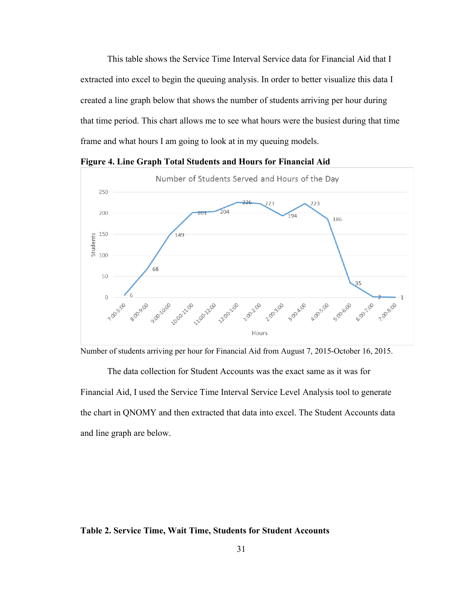This table shows the Service Time Interval Service data for Financial Aid that I extracted into excel to begin the queuing analysis. In order to better visualize this data I created a line graph below that shows the number of students arriving per hour during that time period. This chart allows me to see what hours were the busiest during that time frame and what hours I am going to look at in my queuing models.



**Figure 4. Line Graph Total Students and Hours for Financial Aid** 

Number of students arriving per hour for Financial Aid from August 7, 2015-October 16, 2015.

The data collection for Student Accounts was the exact same as it was for Financial Aid, I used the Service Time Interval Service Level Analysis tool to generate the chart in QNOMY and then extracted that data into excel. The Student Accounts data and line graph are below.

## **Table 2. Service Time, Wait Time, Students for Student Accounts**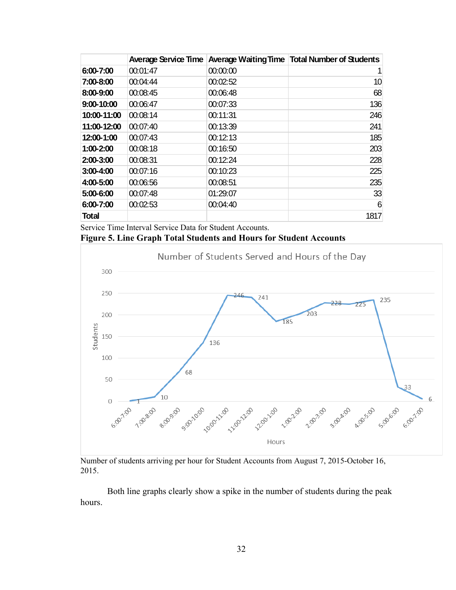|              | <b>Average Service Time</b> |          | <b>Average Waiting Time   Total Number of Students</b> |
|--------------|-----------------------------|----------|--------------------------------------------------------|
| 6:00-7:00    | 00:01:47                    | 00:00:00 | 1                                                      |
| 7:00-8:00    | 00:04:44                    | 00:02:52 | 10                                                     |
| 8:00-9:00    | 00:08:45                    | 00:06:48 | 68                                                     |
| 9:00-10:00   | 00:06:47                    | 00:07:33 | 136                                                    |
| 10:00-11:00  | 00:08:14                    | 00:11:31 | 246                                                    |
| 11:00-12:00  | 00:07:40                    | 00:13:39 | 241                                                    |
| 12:00-1:00   | 00:07:43                    | 00:12:13 | 185                                                    |
| 1:00-2:00    | 00:08:18                    | 00:16:50 | 203                                                    |
| 2:00-3:00    | 00:08:31                    | 00:12:24 | 228                                                    |
| 3:00-4:00    | 00:07:16                    | 00:10:23 | 225                                                    |
| 4:00-5:00    | 00:06:56                    | 00:08:51 | 235                                                    |
| 5:00-6:00    | 00:07:48                    | 01:29:07 | 33                                                     |
| 6:00-7:00    | 00:02:53                    | 00:04:40 | 6                                                      |
| <b>Total</b> |                             |          | 1817                                                   |

Service Time Interval Service Data for Student Accounts.

## **Figure 5. Line Graph Total Students and Hours for Student Accounts**



Number of students arriving per hour for Student Accounts from August 7, 2015-October 16, 2015.

Both line graphs clearly show a spike in the number of students during the peak hours.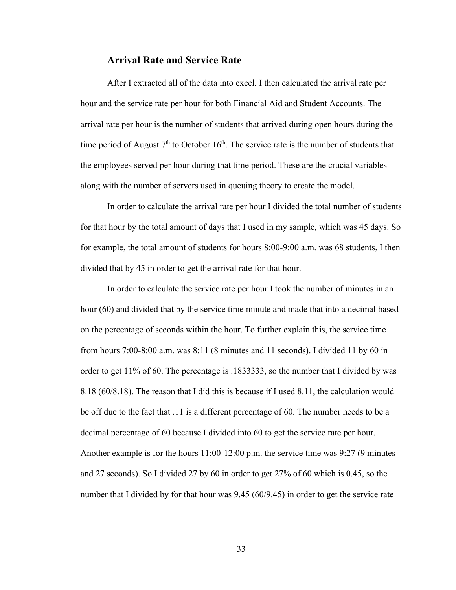## **Arrival Rate and Service Rate**

After I extracted all of the data into excel, I then calculated the arrival rate per hour and the service rate per hour for both Financial Aid and Student Accounts. The arrival rate per hour is the number of students that arrived during open hours during the time period of August  $7<sup>th</sup>$  to October 16<sup>th</sup>. The service rate is the number of students that the employees served per hour during that time period. These are the crucial variables along with the number of servers used in queuing theory to create the model.

In order to calculate the arrival rate per hour I divided the total number of students for that hour by the total amount of days that I used in my sample, which was 45 days. So for example, the total amount of students for hours 8:00-9:00 a.m. was 68 students, I then divided that by 45 in order to get the arrival rate for that hour.

In order to calculate the service rate per hour I took the number of minutes in an hour (60) and divided that by the service time minute and made that into a decimal based on the percentage of seconds within the hour. To further explain this, the service time from hours 7:00-8:00 a.m. was 8:11 (8 minutes and 11 seconds). I divided 11 by 60 in order to get 11% of 60. The percentage is .1833333, so the number that I divided by was 8.18 (60/8.18). The reason that I did this is because if I used 8.11, the calculation would be off due to the fact that .11 is a different percentage of 60. The number needs to be a decimal percentage of 60 because I divided into 60 to get the service rate per hour. Another example is for the hours 11:00-12:00 p.m. the service time was 9:27 (9 minutes and 27 seconds). So I divided 27 by 60 in order to get 27% of 60 which is 0.45, so the number that I divided by for that hour was 9.45 (60/9.45) in order to get the service rate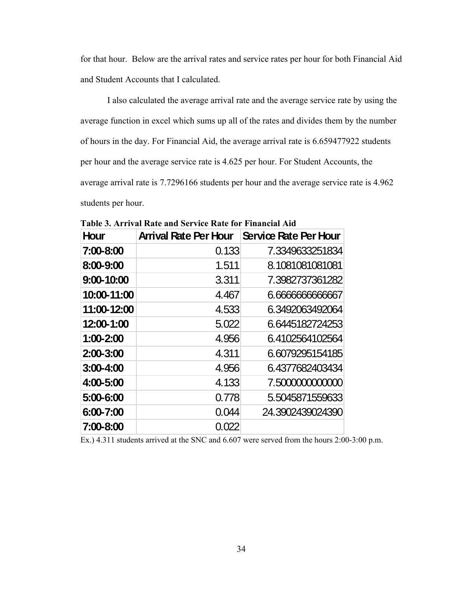for that hour. Below are the arrival rates and service rates per hour for both Financial Aid and Student Accounts that I calculated.

I also calculated the average arrival rate and the average service rate by using the average function in excel which sums up all of the rates and divides them by the number of hours in the day. For Financial Aid, the average arrival rate is 6.659477922 students per hour and the average service rate is 4.625 per hour. For Student Accounts, the average arrival rate is 7.7296166 students per hour and the average service rate is 4.962 students per hour.

| <b>Hour</b>   | <b>Arrival Rate Per Hour</b> | Service Rate Per Hour |
|---------------|------------------------------|-----------------------|
| 7:00-8:00     | 0.133                        | 7.3349633251834       |
| 8:00-9:00     | 1.511                        | 8.1081081081081       |
| 9:00-10:00    | 3.311                        | 7.3982737361282       |
| 10:00-11:00   | 4.467                        | 6.666666666667        |
| 11:00-12:00   | 4.533                        | 6.3492063492064       |
| 12:00-1:00    | 5.022                        | 6.6445182724253       |
| 1:00-2:00     | 4.956                        | 6.4102564102564       |
| 2:00-3:00     | 4.311                        | 6.6079295154185       |
| $3:00 - 4:00$ | 4.956                        | 6.4377682403434       |
| 4:00-5:00     | 4.133                        | 7.500000000000        |
| 5:00-6:00     | 0.778                        | 5.5045871559633       |
| 6:00-7:00     | 0.044                        | 24.3902439024390      |
| 7:00-8:00     | 0.022                        |                       |

**Table 3. Arrival Rate and Service Rate for Financial Aid**

Ex.) 4.311 students arrived at the SNC and 6.607 were served from the hours 2:00-3:00 p.m.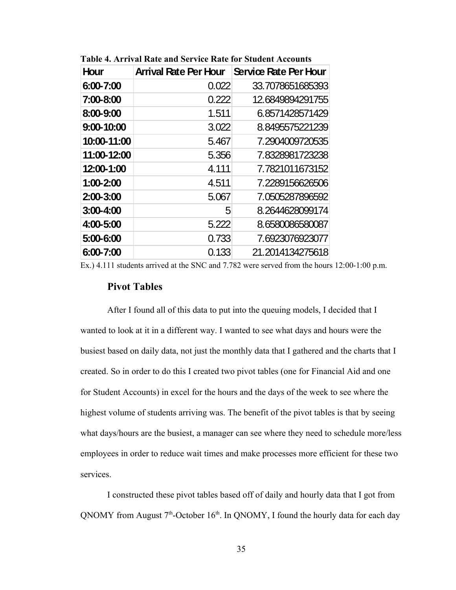| <b>Hour</b>   | <b>Arrival Rate Per Hour</b> | Service Rate Per Hour |
|---------------|------------------------------|-----------------------|
| 6:00-7:00     | 0.022                        | 33.7078651685393      |
| 7:00-8:00     | 0.222                        | 12.6849894291755      |
| 8:00-9:00     | 1.511                        | 6.8571428571429       |
| 9:00-10:00    | 3.022                        | 8.8495575221239       |
| 10:00-11:00   | 5.467                        | 7.2904009720535       |
| 11:00-12:00   | 5.356                        | 7.8328981723238       |
| 12:00-1:00    | 4.111                        | 7.7821011673152       |
| 1:00-2:00     | 4.511                        | 7.2289156626506       |
| $2:00 - 3:00$ | 5.067                        | 7.0505287896592       |
| 3:00-4:00     | 5                            | 8.2644628099174       |
| 4:00-5:00     | 5.222                        | 8.6580086580087       |
| 5:00-6:00     | 0.733                        | 7.6923076923077       |
| 6:00-7:00     | 0.133                        | 21.2014134275618      |

**Table 4. Arrival Rate and Service Rate for Student Accounts**

Ex.) 4.111 students arrived at the SNC and 7.782 were served from the hours 12:00-1:00 p.m.

## **Pivot Tables**

After I found all of this data to put into the queuing models, I decided that I wanted to look at it in a different way. I wanted to see what days and hours were the busiest based on daily data, not just the monthly data that I gathered and the charts that I created. So in order to do this I created two pivot tables (one for Financial Aid and one for Student Accounts) in excel for the hours and the days of the week to see where the highest volume of students arriving was. The benefit of the pivot tables is that by seeing what days/hours are the busiest, a manager can see where they need to schedule more/less employees in order to reduce wait times and make processes more efficient for these two services.

I constructed these pivot tables based off of daily and hourly data that I got from QNOMY from August  $7<sup>th</sup>$ -October 16<sup>th</sup>. In QNOMY, I found the hourly data for each day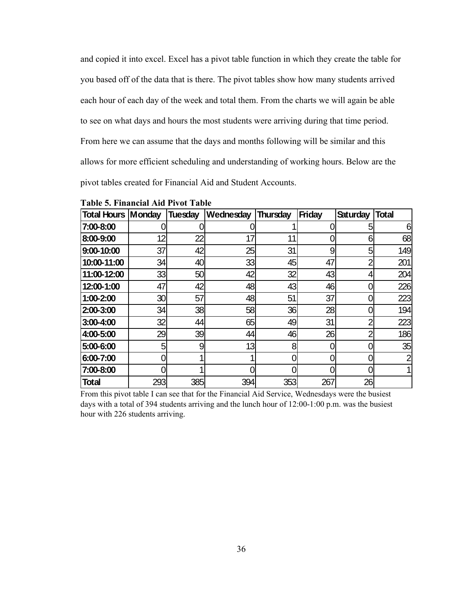and copied it into excel. Excel has a pivot table function in which they create the table for you based off of the data that is there. The pivot tables show how many students arrived each hour of each day of the week and total them. From the charts we will again be able to see on what days and hours the most students were arriving during that time period. From here we can assume that the days and months following will be similar and this allows for more efficient scheduling and understanding of working hours. Below are the pivot tables created for Financial Aid and Student Accounts.

| <b>Total Hours   Monday</b> |     | <b>Tuesday</b> | <b>Wednesday</b> | <b>Thursday</b> | Friday | <b>Saturday</b> | <b>Total</b> |
|-----------------------------|-----|----------------|------------------|-----------------|--------|-----------------|--------------|
| 7:00-8:00                   |     |                |                  |                 |        |                 | 6            |
| 8:00-9:00                   | 12  | 22             | 17               | 11              |        | 6               | 68           |
| 9:00-10:00                  | 37  | 42             | 25               | 31              | 9      |                 | 149          |
| 10:00-11:00                 | 34  | 40             | 33               | 45              | 47     |                 | 201          |
| 11:00-12:00                 | 33  | 50             | 42               | 32              | 43     |                 | 204          |
| 12:00-1:00                  | 47  | 42             | 48               | 43              | 46     |                 | 226          |
| 1:00-2:00                   | 30  | 57             | 48               | 51              | 37     |                 | 223          |
| 2:00-3:00                   | 34  | 38             | 58               | 36              | 28     |                 | 194          |
| $3:00-4:00$                 | 32  | 44             | 65               | 49              | 31     |                 | 223          |
| 4:00-5:00                   | 29  | 39             | 44               | 46              | 26     |                 | 186          |
| 5:00-6:00                   | 5   | 9              | 13               | 8               |        |                 | 35           |
| 6:00-7:00                   |     |                |                  |                 |        |                 |              |
| 7:00-8:00                   |     |                |                  |                 |        |                 |              |
| <b>Total</b>                | 293 | 385            | 394              | 353             | 267    | 26              |              |

**Table 5. Financial Aid Pivot Table**

From this pivot table I can see that for the Financial Aid Service, Wednesdays were the busiest days with a total of 394 students arriving and the lunch hour of 12:00-1:00 p.m. was the busiest hour with 226 students arriving.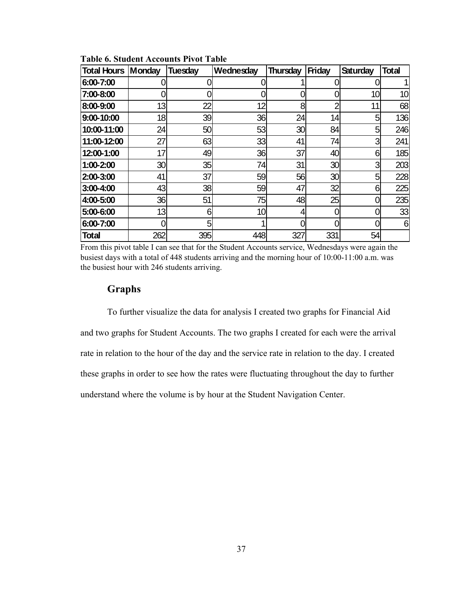| <b>Total Hours   Monday</b> |     | <b>Tuesday</b> | Wednesday | <b>Thursday</b> | <b>Friday</b> | <b>Saturday</b> | <b>Total</b> |
|-----------------------------|-----|----------------|-----------|-----------------|---------------|-----------------|--------------|
| 6:00-7:00                   |     |                |           |                 |               |                 |              |
| 7:00-8:00                   |     |                |           |                 |               | 10 <sup>1</sup> | 10           |
| 8:00-9:00                   | 13  | 22             | 12        | 8               | ኅ             | 11              | 68           |
| 9:00-10:00                  | 18  | 39             | 36        | 24              | 14            | 5               | 136          |
| 10:00-11:00                 | 24  | 50             | 53        | 30 <sub>l</sub> | 84            | 5               | 246          |
| 11:00-12:00                 | 27  | 63             | 33        | 41              | 74            | 3               | 241          |
| 12:00-1:00                  | 17  | 49             | 36        | 37              | 40            | 61              | 185          |
| 1:00-2:00                   | 30  | 35             | 74        | 31              | 30            | 3               | 203          |
| 2:00-3:00                   | 41  | 37             | 59        | 56              | 30            | 5               | 228          |
| $3:00 - 4:00$               | 43  | 38             | 59        | 47              | 32            | 6               | 225          |
| 4:00-5:00                   | 36  | 51             | 75        | 48              | 25            |                 | 235          |
| 5:00-6:00                   | 13  | 6              | 10        | 4               |               |                 | 33           |
| 6:00-7:00                   | O   | 5              |           | 0               |               |                 | 6            |
| <b>Total</b>                | 262 | 395            | 448       | 327             | 331           | 54              |              |

**Table 6. Student Accounts Pivot Table**

From this pivot table I can see that for the Student Accounts service, Wednesdays were again the busiest days with a total of 448 students arriving and the morning hour of 10:00-11:00 a.m. was the busiest hour with 246 students arriving.

## **Graphs**

To further visualize the data for analysis I created two graphs for Financial Aid and two graphs for Student Accounts. The two graphs I created for each were the arrival rate in relation to the hour of the day and the service rate in relation to the day. I created these graphs in order to see how the rates were fluctuating throughout the day to further understand where the volume is by hour at the Student Navigation Center.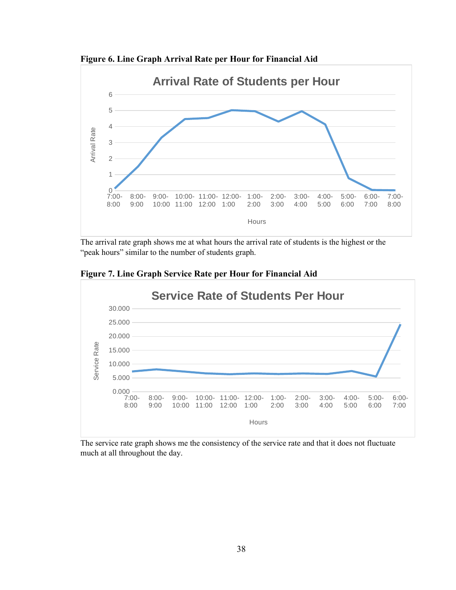**Figure 6. Line Graph Arrival Rate per Hour for Financial Aid**



The arrival rate graph shows me at what hours the arrival rate of students is the highest or the "peak hours" similar to the number of students graph.





The service rate graph shows me the consistency of the service rate and that it does not fluctuate much at all throughout the day.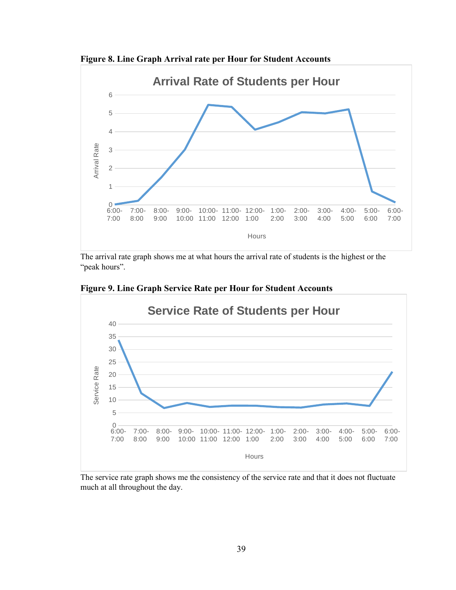**Figure 8. Line Graph Arrival rate per Hour for Student Accounts**



The arrival rate graph shows me at what hours the arrival rate of students is the highest or the "peak hours".



**Figure 9. Line Graph Service Rate per Hour for Student Accounts**

The service rate graph shows me the consistency of the service rate and that it does not fluctuate much at all throughout the day.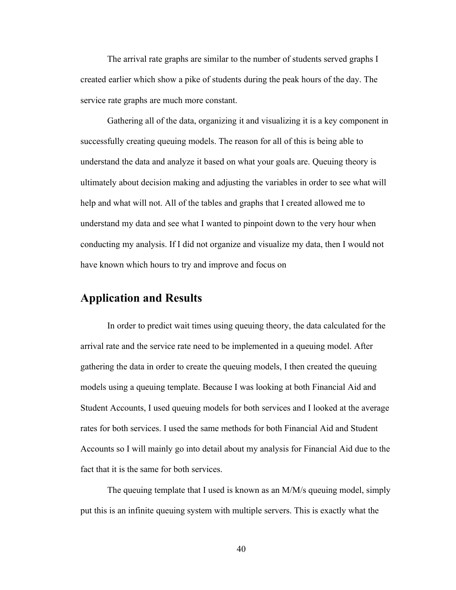The arrival rate graphs are similar to the number of students served graphs I created earlier which show a pike of students during the peak hours of the day. The service rate graphs are much more constant.

Gathering all of the data, organizing it and visualizing it is a key component in successfully creating queuing models. The reason for all of this is being able to understand the data and analyze it based on what your goals are. Queuing theory is ultimately about decision making and adjusting the variables in order to see what will help and what will not. All of the tables and graphs that I created allowed me to understand my data and see what I wanted to pinpoint down to the very hour when conducting my analysis. If I did not organize and visualize my data, then I would not have known which hours to try and improve and focus on

## **Application and Results**

In order to predict wait times using queuing theory, the data calculated for the arrival rate and the service rate need to be implemented in a queuing model. After gathering the data in order to create the queuing models, I then created the queuing models using a queuing template. Because I was looking at both Financial Aid and Student Accounts, I used queuing models for both services and I looked at the average rates for both services. I used the same methods for both Financial Aid and Student Accounts so I will mainly go into detail about my analysis for Financial Aid due to the fact that it is the same for both services.

The queuing template that I used is known as an M/M/s queuing model, simply put this is an infinite queuing system with multiple servers. This is exactly what the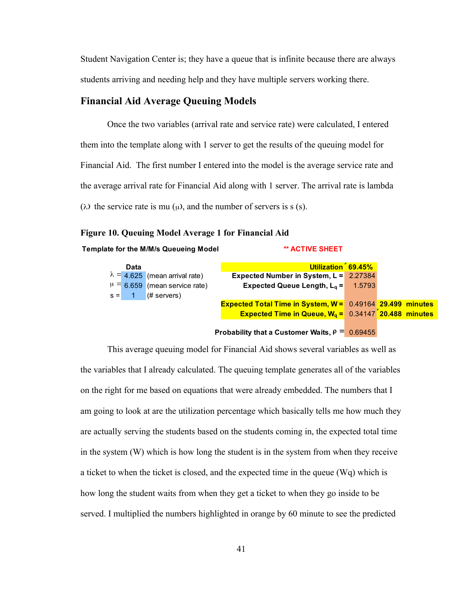Student Navigation Center is; they have a queue that is infinite because there are always students arriving and needing help and they have multiple servers working there.

## **Financial Aid Average Queuing Models**

Once the two variables (arrival rate and service rate) were calculated, I entered them into the template along with 1 server to get the results of the queuing model for Financial Aid. The first number I entered into the model is the average service rate and the average arrival rate for Financial Aid along with 1 server. The arrival rate is lambda ( $\lambda$ ) the service rate is mu ( $\mu$ ), and the number of servers is s (s).

## **Figure 10. Queuing Model Average 1 for Financial Aid**

**Template for the M/M/s Queueing Model \*\* ACTIVE SHEET**

| Data |                                       | Utilization 69.45%                                                              |  |  |  |  |
|------|---------------------------------------|---------------------------------------------------------------------------------|--|--|--|--|
|      | $\lambda = 4.625$ (mean arrival rate) | Expected Number in System, L = 2.27384                                          |  |  |  |  |
|      | $\mu = 6.659$ (mean service rate)     | Expected Queue Length, $L_a = 1.5793$                                           |  |  |  |  |
|      | $s = 1$ (# servers)                   |                                                                                 |  |  |  |  |
|      |                                       | <b>Expected Total Time in System, W = 0.49164 29.499 minutes</b>                |  |  |  |  |
|      |                                       | <b>Expected Time in Queue, <math>W_q = 0.34147 \times 20.488</math> minutes</b> |  |  |  |  |
|      |                                       |                                                                                 |  |  |  |  |

## **Probability that a Customer Waits,**  $P = 0.69455$

This average queuing model for Financial Aid shows several variables as well as the variables that I already calculated. The queuing template generates all of the variables on the right for me based on equations that were already embedded. The numbers that I am going to look at are the utilization percentage which basically tells me how much they are actually serving the students based on the students coming in, the expected total time in the system (W) which is how long the student is in the system from when they receive a ticket to when the ticket is closed, and the expected time in the queue (Wq) which is how long the student waits from when they get a ticket to when they go inside to be served. I multiplied the numbers highlighted in orange by 60 minute to see the predicted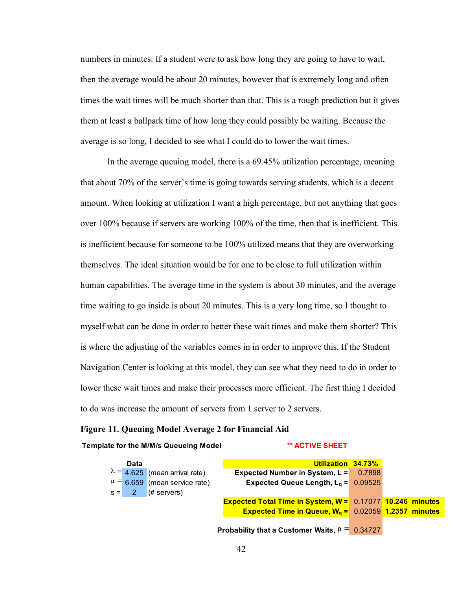numbers in minutes. If a student were to ask how long they are going to have to wait, then the average would be about 20 minutes, however that is extremely long and often times the wait times will be much shorter than that. This is a rough prediction but it gives them at least a ballpark time of how long they could possibly be waiting. Because the average is so long, I decided to see what I could do to lower the wait times.

In the average queuing model, there is a 69.45% utilization percentage, meaning that about 70% of the server's time is going towards serving students, which is a decent amount. When looking at utilization I want a high percentage, but not anything that goes over 100% because if servers are working 100% of the time, then that is inefficient. This is inefficient because for someone to be 100% utilized means that they are overworking themselves. The ideal situation would be for one to be close to full utilization within human capabilities. The average time in the system is about 30 minutes, and the average time waiting to go inside is about 20 minutes. This is a very long time, so I thought to myself what can be done in order to better these wait times and make them shorter? This is where the adjusting of the variables comes in in order to improve this. If the Student Navigation Center is looking at this model, they can see what they need to do in order to lower these wait times and make their processes more efficient. The first thing I decided to do was increase the amount of servers from 1 server to 2 servers.

## **Figure 11. Queuing Model Average 2 for Financial Aid**

#### **Template for the M/M/s Queueing Model \*\* ACTIVE SHEET**

| Data                                                     | Utilization 34.73%                                                       |  |
|----------------------------------------------------------|--------------------------------------------------------------------------|--|
| $\lambda = 4.625$ (mean arrival rate)                    | Expected Number in System, $L = 0.7898$                                  |  |
| $\mu = 6.659$ (mean service rate)                        | Expected Queue Length, $L_q = 0.09525$                                   |  |
| $s = \begin{pmatrix} 2 & \text{# servers} \end{pmatrix}$ |                                                                          |  |
|                                                          | <b>Expected Total Time in System, W = 0.17077 10.246 minutes</b>         |  |
|                                                          | <b>Expected Time in Queue, <math>W_q = 0.02059</math> 1.2357 minutes</b> |  |
|                                                          |                                                                          |  |

**Probability that a Customer Waits,**  $\rho = 0.34727$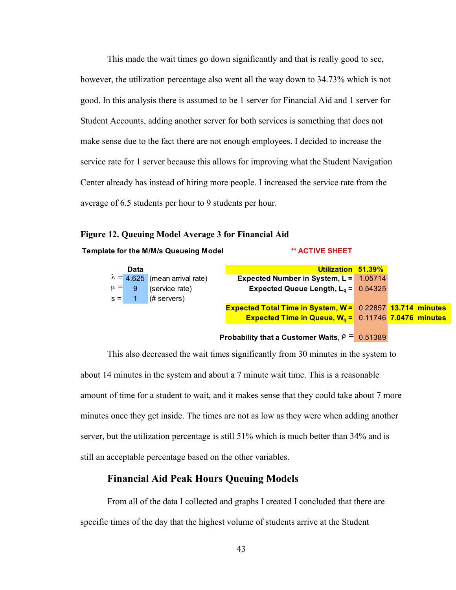This made the wait times go down significantly and that is really good to see, however, the utilization percentage also went all the way down to 34.73% which is not good. In this analysis there is assumed to be 1 server for Financial Aid and 1 server for Student Accounts, adding another server for both services is something that does not make sense due to the fact there are not enough employees. I decided to increase the service rate for 1 server because this allows for improving what the Student Navigation Center already has instead of hiring more people. I increased the service rate from the average of 6.5 students per hour to 9 students per hour.

## **Figure 12. Queuing Model Average 3 for Financial Aid**

## **Template for the M/M/s Queueing Model \*\* ACTIVE SHEET**

| Data      |                                       | Utilization 51.39%                                                       |  |
|-----------|---------------------------------------|--------------------------------------------------------------------------|--|
|           | $\lambda = 4.625$ (mean arrival rate) | Expected Number in System, $L = 1.05714$                                 |  |
| $\mu = 9$ | (service rate)                        | Expected Queue Length, $L_q = 0.54325$                                   |  |
|           | $s = 1$ (# servers)                   |                                                                          |  |
|           |                                       | <b>Expected Total Time in System, W = 0.22857 13.714 minutes</b>         |  |
|           |                                       | <b>Expected Time in Queue, <math>W_q = 0.11746</math> 7.0476 minutes</b> |  |
|           |                                       |                                                                          |  |

## **Probability that a Customer Waits,**  $\rho = 0.51389$

This also decreased the wait times significantly from 30 minutes in the system to about 14 minutes in the system and about a 7 minute wait time. This is a reasonable amount of time for a student to wait, and it makes sense that they could take about 7 more minutes once they get inside. The times are not as low as they were when adding another server, but the utilization percentage is still 51% which is much better than 34% and is still an acceptable percentage based on the other variables.

## **Financial Aid Peak Hours Queuing Models**

From all of the data I collected and graphs I created I concluded that there are specific times of the day that the highest volume of students arrive at the Student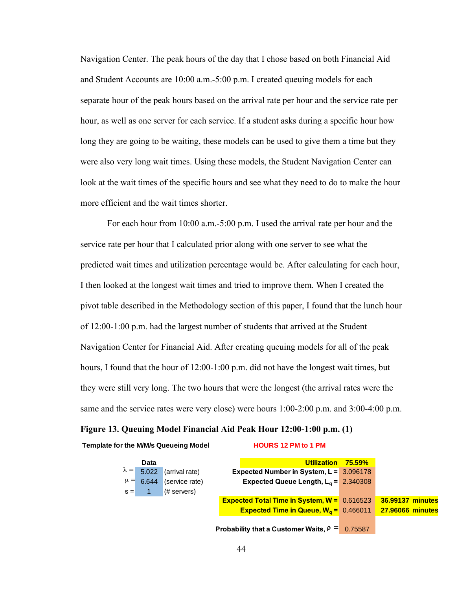Navigation Center. The peak hours of the day that I chose based on both Financial Aid and Student Accounts are 10:00 a.m.-5:00 p.m. I created queuing models for each separate hour of the peak hours based on the arrival rate per hour and the service rate per hour, as well as one server for each service. If a student asks during a specific hour how long they are going to be waiting, these models can be used to give them a time but they were also very long wait times. Using these models, the Student Navigation Center can look at the wait times of the specific hours and see what they need to do to make the hour more efficient and the wait times shorter.

For each hour from 10:00 a.m.-5:00 p.m. I used the arrival rate per hour and the service rate per hour that I calculated prior along with one server to see what the predicted wait times and utilization percentage would be. After calculating for each hour, I then looked at the longest wait times and tried to improve them. When I created the pivot table described in the Methodology section of this paper, I found that the lunch hour of 12:00-1:00 p.m. had the largest number of students that arrived at the Student Navigation Center for Financial Aid. After creating queuing models for all of the peak hours, I found that the hour of 12:00-1:00 p.m. did not have the longest wait times, but they were still very long. The two hours that were the longest (the arrival rates were the same and the service rates were very close) were hours 1:00-2:00 p.m. and 3:00-4:00 p.m.

## **Figure 13. Queuing Model Financial Aid Peak Hour 12:00-1:00 p.m. (1)**

#### **Template for the M/M/s Queueing Model HOURS 12 PM to 1 PM**

| Data                                  |                              | Utilization 75.59%                                              |                         |
|---------------------------------------|------------------------------|-----------------------------------------------------------------|-------------------------|
| $\lambda = 5.022$                     | (arrival rate)               | Expected Number in System, $L = 3.096178$                       |                         |
|                                       | $\mu = 6.644$ (service rate) | Expected Queue Length, $L_q = 2.340308$                         |                         |
| $s = \begin{bmatrix} 1 \end{bmatrix}$ | $($ # servers $)$            |                                                                 |                         |
|                                       |                              | <b>Expected Total Time in System, <math>W = 0.616523</math></b> | 36.99137 minutes        |
|                                       |                              | <b>Expected Time in Queue, <math>W_q = 0.466011</math></b>      | <b>27.96066 minutes</b> |
|                                       |                              |                                                                 |                         |
|                                       |                              | Probability that a Customer Waits, $\rho = 0.75587$             |                         |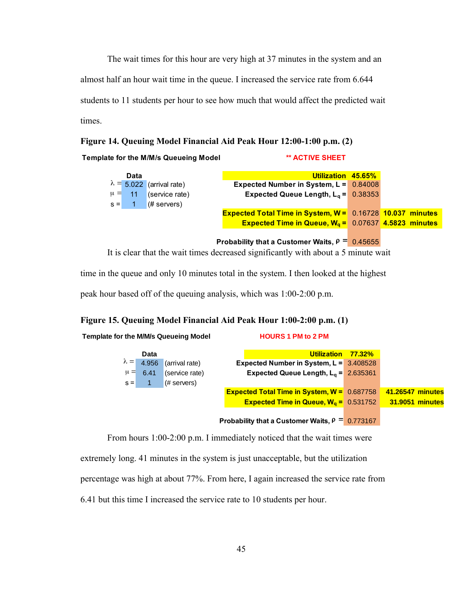The wait times for this hour are very high at 37 minutes in the system and an almost half an hour wait time in the queue. I increased the service rate from 6.644 students to 11 students per hour to see how much that would affect the predicted wait times.

**Figure 14. Queuing Model Financial Aid Peak Hour 12:00-1:00 p.m. (2)**

**Template for the M/M/s Queueing Model \*\* ACTIVE SHEET**

| Data    |                                  | Utilization 45.65%                                                       |  |  |
|---------|----------------------------------|--------------------------------------------------------------------------|--|--|
|         | $\lambda = 5.022$ (arrival rate) | Expected Number in System, $L = 0.84008$                                 |  |  |
|         | $\mu = 11$ (service rate)        | Expected Queue Length, $L_a = 0.38353$                                   |  |  |
| $s = 1$ | $#$ servers)                     |                                                                          |  |  |
|         |                                  | <b>Expected Total Time in System, W = 0.16728 10.037 minutes</b>         |  |  |
|         |                                  | <b>Expected Time in Queue, <math>W_a = 0.07637</math> 4.5823 minutes</b> |  |  |
|         |                                  |                                                                          |  |  |
|         |                                  | Probability that a Customer Waits, $\rho = 0.45655$                      |  |  |

It is clear that the wait times decreased significantly with about a 5 minute wait

time in the queue and only 10 minutes total in the system. I then looked at the highest

peak hour based off of the queuing analysis, which was 1:00-2:00 p.m.

**Template for the M/M/s Queueing Model HOURS 1 PM to 2 PM**

## **Figure 15. Queuing Model Financial Aid Peak Hour 1:00-2:00 p.m. (1)**

|         | Data              |                   | Utilization 77.32%                                              |                        |
|---------|-------------------|-------------------|-----------------------------------------------------------------|------------------------|
|         | $\lambda = 4.956$ | (arrival rate)    | Expected Number in System, $L = 3.408528$                       |                        |
| $\mu =$ | 6.41              | (service rate)    | Expected Queue Length, $L_q = 2.635361$                         |                        |
| $s =$   |                   | $($ # servers $)$ |                                                                 |                        |
|         |                   |                   | <b>Expected Total Time in System, <math>W = 0.687758</math></b> | 41.26547 minutes       |
|         |                   |                   | <b>Expected Time in Queue, <math>W_a = 0.531752</math></b>      | <b>31.9051 minutes</b> |
|         |                   |                   |                                                                 |                        |
|         |                   |                   | Probability that a Customer Waits, $\rho = 0.773167$            |                        |

From hours 1:00-2:00 p.m. I immediately noticed that the wait times were

extremely long. 41 minutes in the system is just unacceptable, but the utilization

percentage was high at about 77%. From here, I again increased the service rate from

6.41 but this time I increased the service rate to 10 students per hour.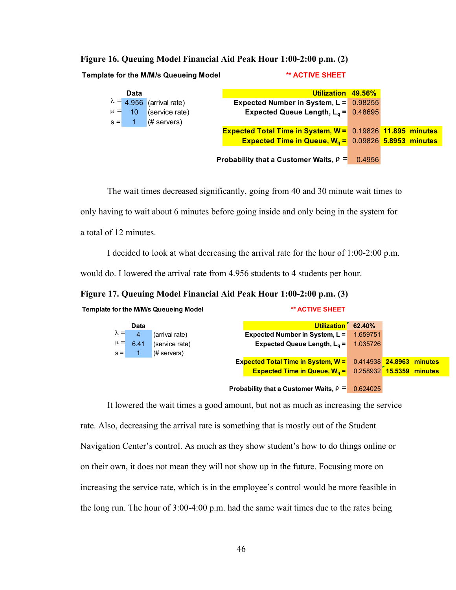| Figure 16. Queuing Model Financial Aid Peak Hour 1:00-2:00 p.m. (2) |  |  |  |  |  |  |  |  |
|---------------------------------------------------------------------|--|--|--|--|--|--|--|--|
|---------------------------------------------------------------------|--|--|--|--|--|--|--|--|

**Template for the M/M/s Queueing Model \*\* ACTIVE SHEET**

|         | Data            |                                  | Utilization 49.56%                                                       |  |
|---------|-----------------|----------------------------------|--------------------------------------------------------------------------|--|
|         |                 | $\lambda = 4.956$ (arrival rate) | Expected Number in System, $L = 0.98255$                                 |  |
| $\mu =$ | 10 <sub>l</sub> | (service rate)                   | Expected Queue Length, $L_q = 0.48695$                                   |  |
|         | $s = 1$         | $(#$ servers)                    |                                                                          |  |
|         |                 |                                  | <b>Expected Total Time in System, W = 0.19826 11.895 minutes</b>         |  |
|         |                 |                                  | <b>Expected Time in Queue, <math>W_q = 0.09826</math> 5.8953 minutes</b> |  |
|         |                 |                                  |                                                                          |  |
|         |                 |                                  | Probability that a Customer Waits, $\rho = 0.4956$                       |  |

The wait times decreased significantly, going from 40 and 30 minute wait times to

only having to wait about 6 minutes before going inside and only being in the system for

a total of 12 minutes.

I decided to look at what decreasing the arrival rate for the hour of 1:00-2:00 p.m.

would do. I lowered the arrival rate from 4.956 students to 4 students per hour.

**Figure 17. Queuing Model Financial Aid Peak Hour 1:00-2:00 p.m. (3)**

| Template for the M/M/s Queueing Model | ** ACTIVE SHEET |
|---------------------------------------|-----------------|
|                                       |                 |

|             | Data |                | Utilization 62.40%                                                               |  |
|-------------|------|----------------|----------------------------------------------------------------------------------|--|
| $\lambda =$ | 4    | (arrival rate) | Expected Number in System, $L = 1.659751$                                        |  |
| $\mu =$     | 6.41 | (service rate) | Expected Queue Length, $L_q = 1.035726$                                          |  |
| $s =$       |      | $#$ servers)   |                                                                                  |  |
|             |      |                | Expected Total Time in System, W = 0.414938 24.8963 minutes                      |  |
|             |      |                | <b>Expected Time in Queue, W<sub>g</sub></b> = $0.258932 \times 15.5359$ minutes |  |
|             |      |                |                                                                                  |  |
|             |      |                | Probability that a Customer Waits, $\rho = 0.624025$                             |  |

It lowered the wait times a good amount, but not as much as increasing the service rate. Also, decreasing the arrival rate is something that is mostly out of the Student Navigation Center's control. As much as they show student's how to do things online or on their own, it does not mean they will not show up in the future. Focusing more on increasing the service rate, which is in the employee's control would be more feasible in the long run. The hour of 3:00-4:00 p.m. had the same wait times due to the rates being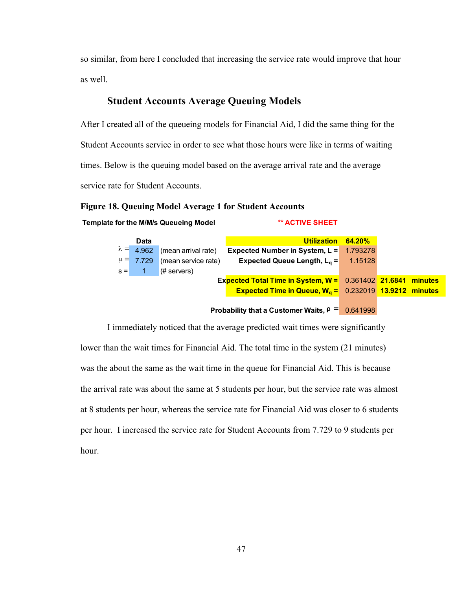so similar, from here I concluded that increasing the service rate would improve that hour as well.

## **Student Accounts Average Queuing Models**

After I created all of the queueing models for Financial Aid, I did the same thing for the Student Accounts service in order to see what those hours were like in terms of waiting times. Below is the queuing model based on the average arrival rate and the average service rate for Student Accounts.

## **Figure 18. Queuing Model Average 1 for Student Accounts**

**Template for the M/M/s Queueing Model \*\* ACTIVE SHEET**

| Data    |                                                                                    |  | Utilization 64.20% |  |
|---------|------------------------------------------------------------------------------------|--|--------------------|--|
|         | $\lambda = 4.962$ (mean arrival rate)<br>Expected Number in System, $L = 1.793278$ |  |                    |  |
|         | $\mu = 7.729$ (mean service rate)<br>Expected Queue Length, $L_q = 1.15128$        |  |                    |  |
| $s = 1$ | $(#$ servers)                                                                      |  |                    |  |
|         | Expected Total Time in System, W = 0.361402 21.6841 minutes                        |  |                    |  |
|         | <b>Expected Time in Queue, <math>Wa = 0.232019</math> 13.9212 minutes</b>          |  |                    |  |
|         |                                                                                    |  |                    |  |

**Probability that a Customer Waits,**  $\rho = 0.641998$ 

I immediately noticed that the average predicted wait times were significantly lower than the wait times for Financial Aid. The total time in the system (21 minutes) was the about the same as the wait time in the queue for Financial Aid. This is because the arrival rate was about the same at 5 students per hour, but the service rate was almost at 8 students per hour, whereas the service rate for Financial Aid was closer to 6 students per hour. I increased the service rate for Student Accounts from 7.729 to 9 students per hour.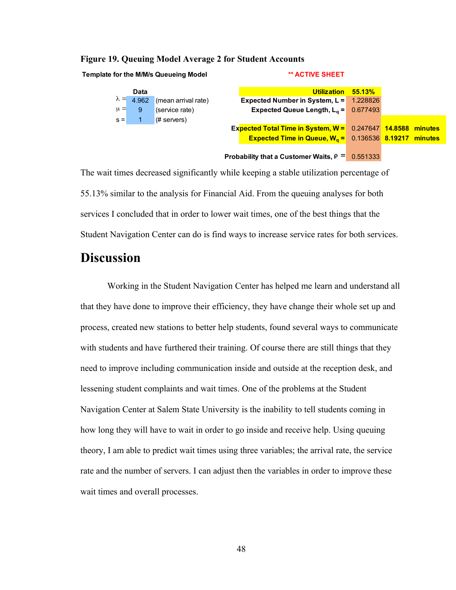## **Figure 19. Queuing Model Average 2 for Student Accounts**

**Template for the M/M/s Queueing Model \*\* ACTIVE SHEET**



The wait times decreased significantly while keeping a stable utilization percentage of 55.13% similar to the analysis for Financial Aid. From the queuing analyses for both services I concluded that in order to lower wait times, one of the best things that the Student Navigation Center can do is find ways to increase service rates for both services.

# **Discussion**

Working in the Student Navigation Center has helped me learn and understand all that they have done to improve their efficiency, they have change their whole set up and process, created new stations to better help students, found several ways to communicate with students and have furthered their training. Of course there are still things that they need to improve including communication inside and outside at the reception desk, and lessening student complaints and wait times. One of the problems at the Student Navigation Center at Salem State University is the inability to tell students coming in how long they will have to wait in order to go inside and receive help. Using queuing theory, I am able to predict wait times using three variables; the arrival rate, the service rate and the number of servers. I can adjust then the variables in order to improve these wait times and overall processes.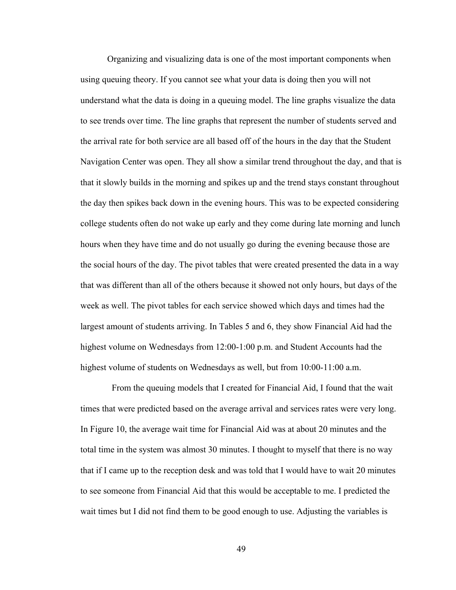Organizing and visualizing data is one of the most important components when using queuing theory. If you cannot see what your data is doing then you will not understand what the data is doing in a queuing model. The line graphs visualize the data to see trends over time. The line graphs that represent the number of students served and the arrival rate for both service are all based off of the hours in the day that the Student Navigation Center was open. They all show a similar trend throughout the day, and that is that it slowly builds in the morning and spikes up and the trend stays constant throughout the day then spikes back down in the evening hours. This was to be expected considering college students often do not wake up early and they come during late morning and lunch hours when they have time and do not usually go during the evening because those are the social hours of the day. The pivot tables that were created presented the data in a way that was different than all of the others because it showed not only hours, but days of the week as well. The pivot tables for each service showed which days and times had the largest amount of students arriving. In Tables 5 and 6, they show Financial Aid had the highest volume on Wednesdays from 12:00-1:00 p.m. and Student Accounts had the highest volume of students on Wednesdays as well, but from 10:00-11:00 a.m.

 From the queuing models that I created for Financial Aid, I found that the wait times that were predicted based on the average arrival and services rates were very long. In Figure 10, the average wait time for Financial Aid was at about 20 minutes and the total time in the system was almost 30 minutes. I thought to myself that there is no way that if I came up to the reception desk and was told that I would have to wait 20 minutes to see someone from Financial Aid that this would be acceptable to me. I predicted the wait times but I did not find them to be good enough to use. Adjusting the variables is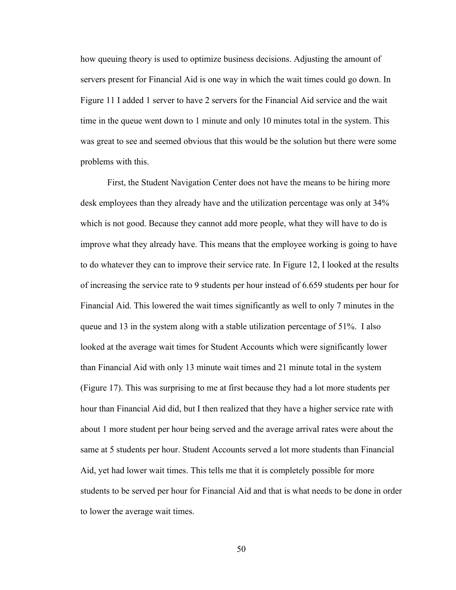how queuing theory is used to optimize business decisions. Adjusting the amount of servers present for Financial Aid is one way in which the wait times could go down. In Figure 11 I added 1 server to have 2 servers for the Financial Aid service and the wait time in the queue went down to 1 minute and only 10 minutes total in the system. This was great to see and seemed obvious that this would be the solution but there were some problems with this.

First, the Student Navigation Center does not have the means to be hiring more desk employees than they already have and the utilization percentage was only at 34% which is not good. Because they cannot add more people, what they will have to do is improve what they already have. This means that the employee working is going to have to do whatever they can to improve their service rate. In Figure 12, I looked at the results of increasing the service rate to 9 students per hour instead of 6.659 students per hour for Financial Aid. This lowered the wait times significantly as well to only 7 minutes in the queue and 13 in the system along with a stable utilization percentage of 51%. I also looked at the average wait times for Student Accounts which were significantly lower than Financial Aid with only 13 minute wait times and 21 minute total in the system (Figure 17). This was surprising to me at first because they had a lot more students per hour than Financial Aid did, but I then realized that they have a higher service rate with about 1 more student per hour being served and the average arrival rates were about the same at 5 students per hour. Student Accounts served a lot more students than Financial Aid, yet had lower wait times. This tells me that it is completely possible for more students to be served per hour for Financial Aid and that is what needs to be done in order to lower the average wait times.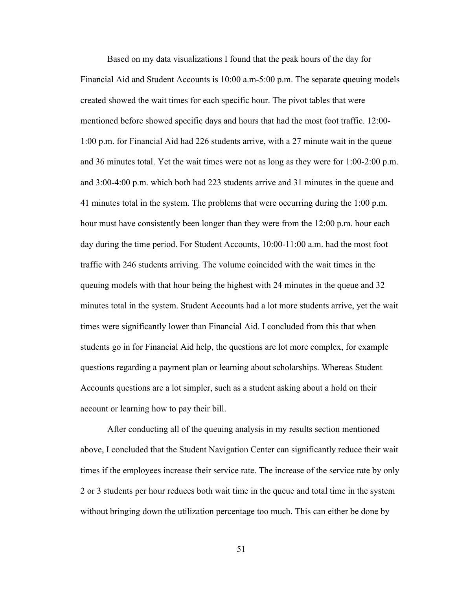Based on my data visualizations I found that the peak hours of the day for Financial Aid and Student Accounts is 10:00 a.m-5:00 p.m. The separate queuing models created showed the wait times for each specific hour. The pivot tables that were mentioned before showed specific days and hours that had the most foot traffic. 12:00- 1:00 p.m. for Financial Aid had 226 students arrive, with a 27 minute wait in the queue and 36 minutes total. Yet the wait times were not as long as they were for 1:00-2:00 p.m. and 3:00-4:00 p.m. which both had 223 students arrive and 31 minutes in the queue and 41 minutes total in the system. The problems that were occurring during the 1:00 p.m. hour must have consistently been longer than they were from the 12:00 p.m. hour each day during the time period. For Student Accounts, 10:00-11:00 a.m. had the most foot traffic with 246 students arriving. The volume coincided with the wait times in the queuing models with that hour being the highest with 24 minutes in the queue and 32 minutes total in the system. Student Accounts had a lot more students arrive, yet the wait times were significantly lower than Financial Aid. I concluded from this that when students go in for Financial Aid help, the questions are lot more complex, for example questions regarding a payment plan or learning about scholarships. Whereas Student Accounts questions are a lot simpler, such as a student asking about a hold on their account or learning how to pay their bill.

After conducting all of the queuing analysis in my results section mentioned above, I concluded that the Student Navigation Center can significantly reduce their wait times if the employees increase their service rate. The increase of the service rate by only 2 or 3 students per hour reduces both wait time in the queue and total time in the system without bringing down the utilization percentage too much. This can either be done by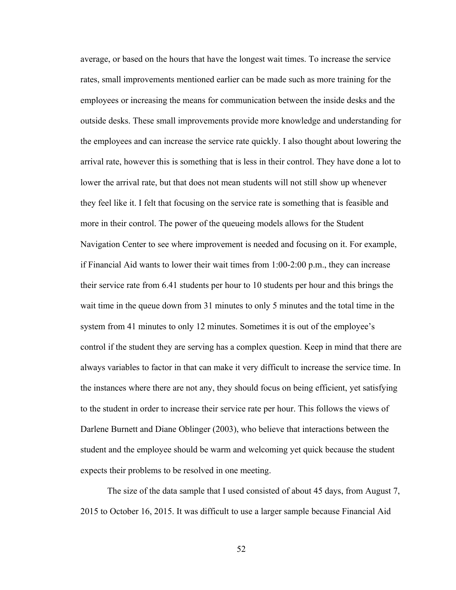average, or based on the hours that have the longest wait times. To increase the service rates, small improvements mentioned earlier can be made such as more training for the employees or increasing the means for communication between the inside desks and the outside desks. These small improvements provide more knowledge and understanding for the employees and can increase the service rate quickly. I also thought about lowering the arrival rate, however this is something that is less in their control. They have done a lot to lower the arrival rate, but that does not mean students will not still show up whenever they feel like it. I felt that focusing on the service rate is something that is feasible and more in their control. The power of the queueing models allows for the Student Navigation Center to see where improvement is needed and focusing on it. For example, if Financial Aid wants to lower their wait times from 1:00-2:00 p.m., they can increase their service rate from 6.41 students per hour to 10 students per hour and this brings the wait time in the queue down from 31 minutes to only 5 minutes and the total time in the system from 41 minutes to only 12 minutes. Sometimes it is out of the employee's control if the student they are serving has a complex question. Keep in mind that there are always variables to factor in that can make it very difficult to increase the service time. In the instances where there are not any, they should focus on being efficient, yet satisfying to the student in order to increase their service rate per hour. This follows the views of Darlene Burnett and Diane Oblinger (2003), who believe that interactions between the student and the employee should be warm and welcoming yet quick because the student expects their problems to be resolved in one meeting.

The size of the data sample that I used consisted of about 45 days, from August 7, 2015 to October 16, 2015. It was difficult to use a larger sample because Financial Aid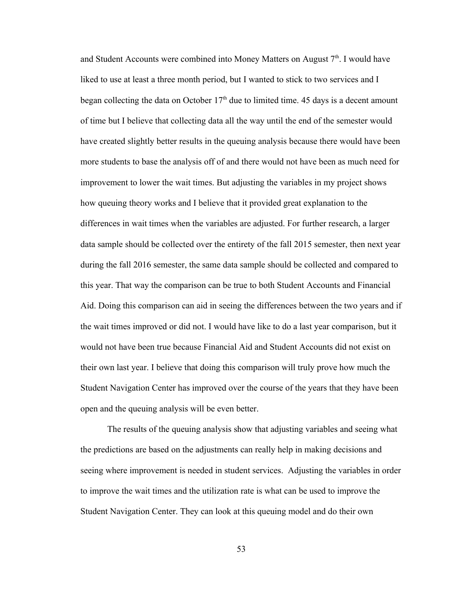and Student Accounts were combined into Money Matters on August  $7<sup>th</sup>$ . I would have liked to use at least a three month period, but I wanted to stick to two services and I began collecting the data on October  $17<sup>th</sup>$  due to limited time. 45 days is a decent amount of time but I believe that collecting data all the way until the end of the semester would have created slightly better results in the queuing analysis because there would have been more students to base the analysis off of and there would not have been as much need for improvement to lower the wait times. But adjusting the variables in my project shows how queuing theory works and I believe that it provided great explanation to the differences in wait times when the variables are adjusted. For further research, a larger data sample should be collected over the entirety of the fall 2015 semester, then next year during the fall 2016 semester, the same data sample should be collected and compared to this year. That way the comparison can be true to both Student Accounts and Financial Aid. Doing this comparison can aid in seeing the differences between the two years and if the wait times improved or did not. I would have like to do a last year comparison, but it would not have been true because Financial Aid and Student Accounts did not exist on their own last year. I believe that doing this comparison will truly prove how much the Student Navigation Center has improved over the course of the years that they have been open and the queuing analysis will be even better.

The results of the queuing analysis show that adjusting variables and seeing what the predictions are based on the adjustments can really help in making decisions and seeing where improvement is needed in student services. Adjusting the variables in order to improve the wait times and the utilization rate is what can be used to improve the Student Navigation Center. They can look at this queuing model and do their own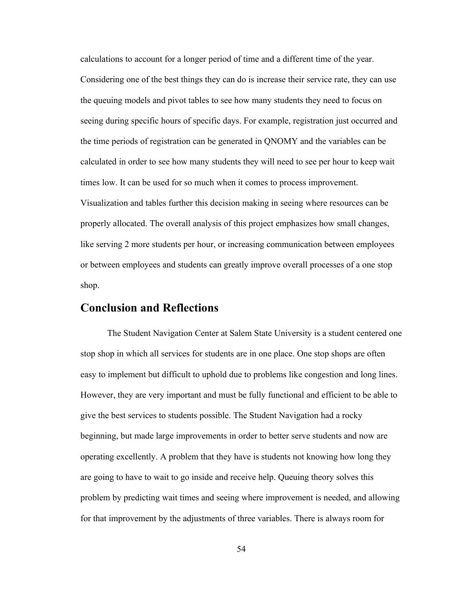calculations to account for a longer period of time and a different time of the year. Considering one of the best things they can do is increase their service rate, they can use the queuing models and pivot tables to see how many students they need to focus on seeing during specific hours of specific days. For example, registration just occurred and the time periods of registration can be generated in QNOMY and the variables can be calculated in order to see how many students they will need to see per hour to keep wait times low. It can be used for so much when it comes to process improvement. Visualization and tables further this decision making in seeing where resources can be properly allocated. The overall analysis of this project emphasizes how small changes, like serving 2 more students per hour, or increasing communication between employees or between employees and students can greatly improve overall processes of a one stop shop.

## **Conclusion and Reflections**

The Student Navigation Center at Salem State University is a student centered one stop shop in which all services for students are in one place. One stop shops are often easy to implement but difficult to uphold due to problems like congestion and long lines. However, they are very important and must be fully functional and efficient to be able to give the best services to students possible. The Student Navigation had a rocky beginning, but made large improvements in order to better serve students and now are operating excellently. A problem that they have is students not knowing how long they are going to have to wait to go inside and receive help. Queuing theory solves this problem by predicting wait times and seeing where improvement is needed, and allowing for that improvement by the adjustments of three variables. There is always room for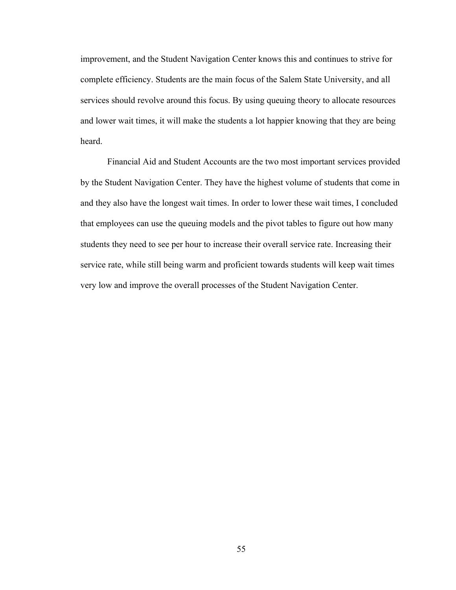improvement, and the Student Navigation Center knows this and continues to strive for complete efficiency. Students are the main focus of the Salem State University, and all services should revolve around this focus. By using queuing theory to allocate resources and lower wait times, it will make the students a lot happier knowing that they are being heard.

Financial Aid and Student Accounts are the two most important services provided by the Student Navigation Center. They have the highest volume of students that come in and they also have the longest wait times. In order to lower these wait times, I concluded that employees can use the queuing models and the pivot tables to figure out how many students they need to see per hour to increase their overall service rate. Increasing their service rate, while still being warm and proficient towards students will keep wait times very low and improve the overall processes of the Student Navigation Center.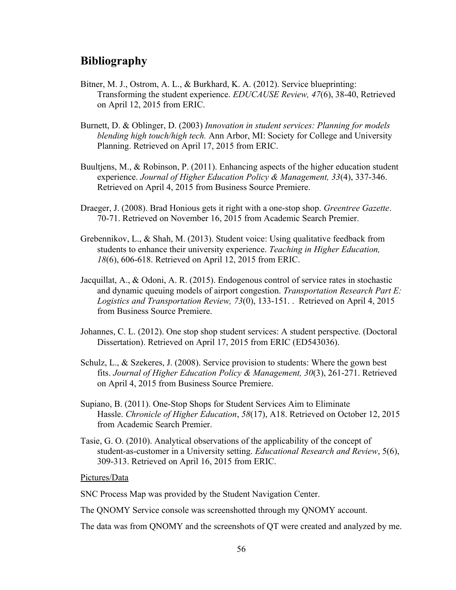## **Bibliography**

- Bitner, M. J., Ostrom, A. L., & Burkhard, K. A. (2012). Service blueprinting: Transforming the student experience. *EDUCAUSE Review, 47*(6), 38-40, Retrieved on April 12, 2015 from ERIC.
- Burnett, D. & Oblinger, D. (2003) *Innovation in student services: Planning for models blending high touch/high tech.* Ann Arbor, MI: Society for College and University Planning. Retrieved on April 17, 2015 from ERIC.
- Buultjens, M., & Robinson, P. (2011). Enhancing aspects of the higher education student experience. *Journal of Higher Education Policy & Management, 33*(4), 337-346. Retrieved on April 4, 2015 from Business Source Premiere.
- Draeger, J. (2008). Brad Honious gets it right with a one-stop shop. *Greentree Gazette*. 70-71. Retrieved on November 16, 2015 from Academic Search Premier.
- Grebennikov, L., & Shah, M. (2013). Student voice: Using qualitative feedback from students to enhance their university experience. *Teaching in Higher Education, 18*(6), 606-618. Retrieved on April 12, 2015 from ERIC.
- Jacquillat, A., & Odoni, A. R. (2015). Endogenous control of service rates in stochastic and dynamic queuing models of airport congestion. *Transportation Research Part E: Logistics and Transportation Review, 73*(0), 133-151. . Retrieved on April 4, 2015 from Business Source Premiere.
- Johannes, C. L. (2012). One stop shop student services: A student perspective. (Doctoral Dissertation). Retrieved on April 17, 2015 from ERIC (ED543036).
- Schulz, L., & Szekeres, J. (2008). Service provision to students: Where the gown best fits. *Journal of Higher Education Policy & Management, 30*(3), 261-271. Retrieved on April 4, 2015 from Business Source Premiere.
- Supiano, B. (2011). One-Stop Shops for Student Services Aim to Eliminate Hassle. *Chronicle of Higher Education*, *58*(17), A18. Retrieved on October 12, 2015 from Academic Search Premier.
- Tasie, G. O. (2010). Analytical observations of the applicability of the concept of student-as-customer in a University setting. *Educational Research and Review*, 5(6), 309-313. Retrieved on April 16, 2015 from ERIC.

## Pictures/Data

SNC Process Map was provided by the Student Navigation Center.

The QNOMY Service console was screenshotted through my QNOMY account.

The data was from QNOMY and the screenshots of QT were created and analyzed by me.